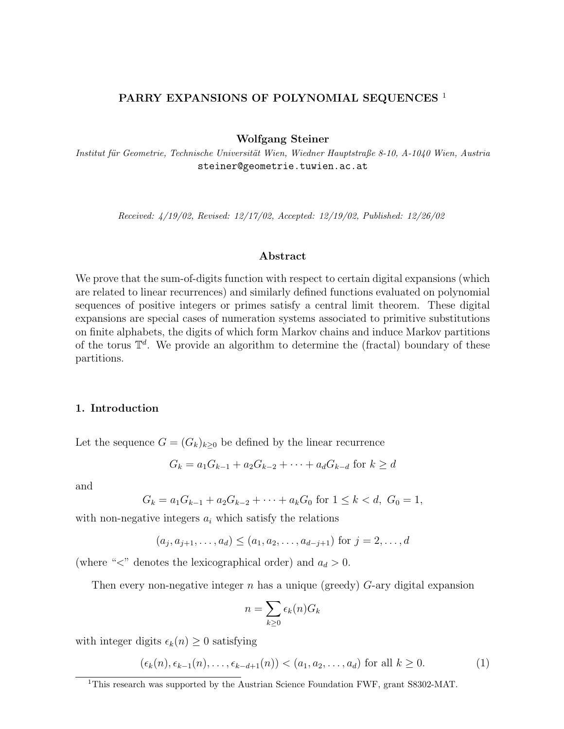# **PARRY EXPANSIONS OF POLYNOMIAL SEQUENCES** <sup>1</sup>

**Wolfgang Steiner**

Institut für Geometrie, Technische Universität Wien, Wiedner Hauptstraße 8-10, A-1040 Wien, Austria steiner@geometrie.tuwien.ac.at

Received: 4/19/02, Revised: 12/17/02, Accepted: 12/19/02, Published: 12/26/02

#### **Abstract**

We prove that the sum-of-digits function with respect to certain digital expansions (which are related to linear recurrences) and similarly defined functions evaluated on polynomial sequences of positive integers or primes satisfy a central limit theorem. These digital expansions are special cases of numeration systems associated to primitive substitutions on finite alphabets, the digits of which form Markov chains and induce Markov partitions of the torus  $\mathbb{T}^d$ . We provide an algorithm to determine the (fractal) boundary of these partitions.

### **1. Introduction**

Let the sequence  $G = (G_k)_{k \geq 0}$  be defined by the linear recurrence

$$
G_k = a_1 G_{k-1} + a_2 G_{k-2} + \dots + a_d G_{k-d} \text{ for } k \ge d
$$

and

$$
G_k = a_1 G_{k-1} + a_2 G_{k-2} + \dots + a_k G_0 \text{ for } 1 \le k < d, \ G_0 = 1,
$$

with non-negative integers  $a_i$  which satisfy the relations

$$
(a_j, a_{j+1},..., a_d) \leq (a_1, a_2,..., a_{d-j+1})
$$
 for  $j = 2,..., d$ 

(where " $\lt$ " denotes the lexicographical order) and  $a_d > 0$ .

Then every non-negative integer  $n$  has a unique (greedy)  $G$ -ary digital expansion

$$
n = \sum_{k \ge 0} \epsilon_k(n) G_k
$$

with integer digits  $\epsilon_k(n) \geq 0$  satisfying

$$
(\epsilon_k(n), \epsilon_{k-1}(n), \ldots, \epsilon_{k-d+1}(n)) < (a_1, a_2, \ldots, a_d)
$$
 for all  $k \ge 0$ . (1)

<sup>&</sup>lt;sup>1</sup>This research was supported by the Austrian Science Foundation FWF, grant S8302-MAT.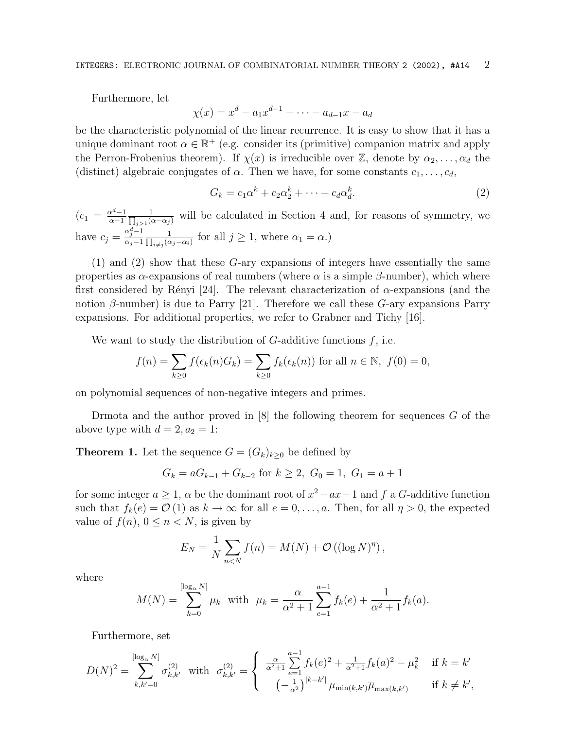Furthermore, let

$$
\chi(x) = x^d - a_1 x^{d-1} - \dots - a_{d-1} x - a_d
$$

be the characteristic polynomial of the linear recurrence. It is easy to show that it has a unique dominant root  $\alpha \in \mathbb{R}^+$  (e.g. consider its (primitive) companion matrix and apply the Perron-Frobenius theorem). If  $\chi(x)$  is irreducible over Z, denote by  $\alpha_2,\ldots,\alpha_d$  the (distinct) algebraic conjugates of  $\alpha$ . Then we have, for some constants  $c_1, \ldots, c_d$ ,

$$
G_k = c_1 \alpha^k + c_2 \alpha_2^k + \dots + c_d \alpha_d^k. \tag{2}
$$

 $(c_1 = \frac{\alpha^d - 1}{\alpha - 1}$  $\frac{1}{j>1(\alpha-\alpha_j)}$  will be calculated in Section 4 and, for reasons of symmetry, we have  $c_j = \frac{\alpha_j^d - 1}{\alpha_j - 1}$  $\alpha_j-1$  ∏  $\frac{1}{i\neq j(\alpha_j-\alpha_i)}$  for all  $j\geq 1$ , where  $\alpha_1=\alpha$ .)

(1) and (2) show that these G-ary expansions of integers have essentially the same properties as  $\alpha$ -expansions of real numbers (where  $\alpha$  is a simple  $\beta$ -number), which where first considered by Rényi [24]. The relevant characterization of  $\alpha$ -expansions (and the notion β-number) is due to Parry [21]. Therefore we call these  $G$ -ary expansions Parry expansions. For additional properties, we refer to Grabner and Tichy [16].

We want to study the distribution of  $G$ -additive functions  $f$ , i.e.

$$
f(n) = \sum_{k \ge 0} f(\epsilon_k(n)G_k) = \sum_{k \ge 0} f_k(\epsilon_k(n))
$$
 for all  $n \in \mathbb{N}$ ,  $f(0) = 0$ ,

on polynomial sequences of non-negative integers and primes.

Drmota and the author proved in  $[8]$  the following theorem for sequences G of the above type with  $d = 2, a_2 = 1$ :

**Theorem 1.** Let the sequence  $G = (G_k)_{k>0}$  be defined by

$$
G_k = aG_{k-1} + G_{k-2} \text{ for } k \ge 2, G_0 = 1, G_1 = a+1
$$

for some integer  $a \geq 1$ ,  $\alpha$  be the dominant root of  $x^2 - ax - 1$  and f a G-additive function such that  $f_k(e) = \mathcal{O}(1)$  as  $k \to \infty$  for all  $e = 0, \ldots, a$ . Then, for all  $\eta > 0$ , the expected value of  $f(n)$ ,  $0 \leq n \leq N$ , is given by

$$
E_N = \frac{1}{N} \sum_{n < N} f(n) = M(N) + \mathcal{O}\left((\log N)^{\eta}\right),
$$

where

$$
M(N) = \sum_{k=0}^{\lfloor \log_{\alpha} N \rfloor} \mu_k \text{ with } \mu_k = \frac{\alpha}{\alpha^2 + 1} \sum_{e=1}^{\alpha - 1} f_k(e) + \frac{1}{\alpha^2 + 1} f_k(a).
$$

Furthermore, set

$$
D(N)^2 = \sum_{k,k'=0}^{\lfloor \log_{\alpha} N \rfloor} \sigma_{k,k'}^{(2)} \quad \text{with} \quad \sigma_{k,k'}^{(2)} = \begin{cases} \frac{\alpha}{\alpha^2+1} \sum_{e=1}^{a-1} f_k(e)^2 + \frac{1}{\alpha^2+1} f_k(a)^2 - \mu_k^2 & \text{if } k=k'\\ \frac{1}{\alpha^2+1} \sum_{e=1}^{a-1} \mu_{\min(k,k')} \overline{\mu}_{\max(k,k')} & \text{if } k \neq k', \end{cases}
$$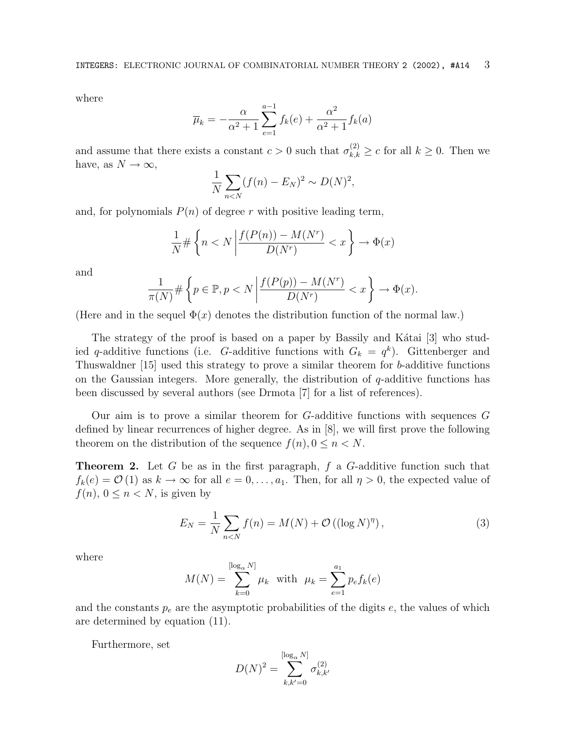where

$$
\overline{\mu}_k = -\frac{\alpha}{\alpha^2 + 1} \sum_{e=1}^{a-1} f_k(e) + \frac{\alpha^2}{\alpha^2 + 1} f_k(a)
$$

and assume that there exists a constant  $c > 0$  such that  $\sigma_{k,k}^{(2)} \geq c$  for all  $k \geq 0$ . Then we have, as  $N \to \infty$ ,

$$
\frac{1}{N}\sum_{n
$$

and, for polynomials  $P(n)$  of degree r with positive leading term,

$$
\frac{1}{N} \# \left\{ n < N \left| \frac{f(P(n)) - M(N^r)}{D(N^r)} < x \right\} \to \Phi(x)
$$

and

$$
\frac{1}{\pi(N)} \# \left\{ p \in \mathbb{P}, p < N \left| \frac{f(P(p)) - M(N^r)}{D(N^r)} < x \right. \right\} \to \Phi(x).
$$

(Here and in the sequel  $\Phi(x)$  denotes the distribution function of the normal law.)

The strategy of the proof is based on a paper by Bassily and Kátai [3] who studied q-additive functions (i.e. G-additive functions with  $G_k = q^k$ ). Gittenberger and Thuswaldner [15] used this strategy to prove a similar theorem for b-additive functions on the Gaussian integers. More generally, the distribution of q-additive functions has been discussed by several authors (see Drmota [7] for a list of references).

Our aim is to prove a similar theorem for G-additive functions with sequences G defined by linear recurrences of higher degree. As in [8], we will first prove the following theorem on the distribution of the sequence  $f(n)$ ,  $0 \leq n < N$ .

**Theorem 2.** Let G be as in the first paragraph, f a G-additive function such that  $f_k(e) = \mathcal{O}(1)$  as  $k \to \infty$  for all  $e = 0, \ldots, a_1$ . Then, for all  $\eta > 0$ , the expected value of  $f(n), 0 \leq n < N$ , is given by

$$
E_N = \frac{1}{N} \sum_{n < N} f(n) = M(N) + \mathcal{O}\left((\log N)^{\eta}\right),\tag{3}
$$

where

$$
M(N) = \sum_{k=0}^{\lfloor \log_{\alpha} N \rfloor} \mu_k \text{ with } \mu_k = \sum_{e=1}^{a_1} p_e f_k(e)
$$

and the constants  $p_e$  are the asymptotic probabilities of the digits  $e$ , the values of which are determined by equation (11).

Furthermore, set

$$
D(N)^{2} = \sum_{k,k'=0}^{\lfloor \log_{\alpha} N \rfloor} \sigma_{k,k'}^{(2)}
$$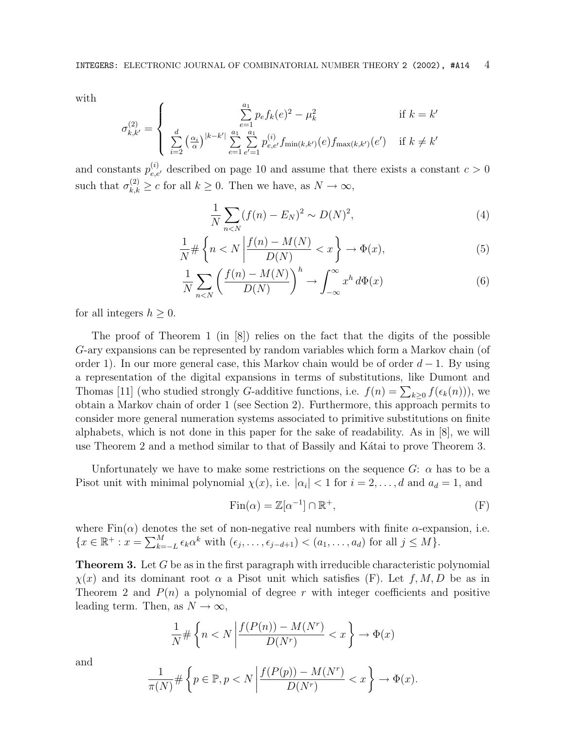with

$$
\sigma_{k,k'}^{(2)} = \begin{cases}\n\sum_{e=1}^{a_1} p_e f_k(e)^2 - \mu_k^2 & \text{if } k = k' \\
\sum_{i=2}^d \left(\frac{\alpha_i}{\alpha}\right)^{|k-k'|} \sum_{e=1}^{a_1} \sum_{e'=1}^{a_1} p_{e,e'}^{(i)} f_{\min(k,k')}(e) f_{\max(k,k')}(e') & \text{if } k \neq k'\n\end{cases}
$$

and constants  $p_{e,e'}^{(i)}$  described on page 10 and assume that there exists a constant  $c > 0$ such that  $\sigma_{k,k}^{(2)} \ge c$  for all  $k \ge 0$ . Then we have, as  $N \to \infty$ ,

$$
\frac{1}{N} \sum_{n < N} (f(n) - E_N)^2 \sim D(N)^2,\tag{4}
$$

$$
\frac{1}{N} \# \left\{ n < N \left| \frac{f(n) - M(N)}{D(N)} < x \right. \right\} \to \Phi(x),\tag{5}
$$

$$
\frac{1}{N} \sum_{n < N} \left( \frac{f(n) - M(N)}{D(N)} \right)^h \to \int_{-\infty}^{\infty} x^h \, d\Phi(x) \tag{6}
$$

for all integers  $h \geq 0$ .

The proof of Theorem 1 (in [8]) relies on the fact that the digits of the possible G-ary expansions can be represented by random variables which form a Markov chain (of order 1). In our more general case, this Markov chain would be of order  $d-1$ . By using a representation of the digital expansions in terms of substitutions, like Dumont and Thomas [11] (who studied strongly *G*-additive functions, i.e.  $f(n) = \sum_{k\geq 0} f(\epsilon_k(n))$ ), we obtain a Markov chain of order 1 (see Section 2). Furthermore, this approach permits to consider more general numeration systems associated to primitive substitutions on finite alphabets, which is not done in this paper for the sake of readability. As in [8], we will use Theorem 2 and a method similar to that of Bassily and Katai to prove Theorem 3.

Unfortunately we have to make some restrictions on the sequence  $G: \alpha$  has to be a Pisot unit with minimal polynomial  $\chi(x)$ , i.e.  $|\alpha_i| < 1$  for  $i = 2, \ldots, d$  and  $a_d = 1$ , and

$$
Fin(\alpha) = \mathbb{Z}[\alpha^{-1}] \cap \mathbb{R}^+, \tag{F}
$$

where  $\text{Fin}\alpha$  denotes the set of non-negative real numbers with finite  $\alpha$ -expansion, i.e.  ${x \in \mathbb{R}^+ : x = \sum_{k=-L}^{M} \epsilon_k \alpha^k \text{ with } (\epsilon_j, \ldots, \epsilon_{j-d+1}) < (a_1, \ldots, a_d) \text{ for all } j \leq M}.$ 

**Theorem 3.** Let G be as in the first paragraph with irreducible characteristic polynomial  $\chi(x)$  and its dominant root  $\alpha$  a Pisot unit which satisfies (F). Let f, M, D be as in Theorem 2 and  $P(n)$  a polynomial of degree r with integer coefficients and positive leading term. Then, as  $N \to \infty$ ,

$$
\frac{1}{N} \# \left\{ n < N \left| \frac{f(P(n)) - M(N^r)}{D(N^r)} < x \right. \right\} \to \Phi(x)
$$

and

$$
\frac{1}{\pi(N)} \# \left\{ p \in \mathbb{P}, p < N \left| \frac{f(P(p)) - M(N^r)}{D(N^r)} < x \right. \right\} \to \Phi(x).
$$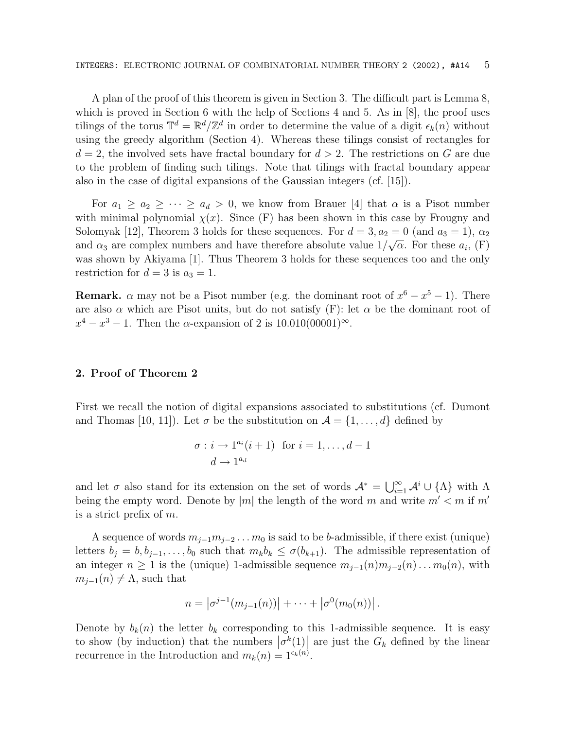A plan of the proof of this theorem is given in Section 3. The difficult part is Lemma 8, which is proved in Section 6 with the help of Sections 4 and 5. As in  $[8]$ , the proof uses tilings of the torus  $\mathbb{T}^d = \mathbb{R}^d / \mathbb{Z}^d$  in order to determine the value of a digit  $\epsilon_k(n)$  without using the greedy algorithm (Section 4). Whereas these tilings consist of rectangles for  $d = 2$ , the involved sets have fractal boundary for  $d > 2$ . The restrictions on G are due to the problem of finding such tilings. Note that tilings with fractal boundary appear also in the case of digital expansions of the Gaussian integers (cf. [15]).

For  $a_1 \ge a_2 \ge \cdots \ge a_d > 0$ , we know from Brauer [4] that  $\alpha$  is a Pisot number with minimal polynomial  $\chi(x)$ . Since (F) has been shown in this case by Frougny and Solomyak [12], Theorem 3 holds for these sequences. For  $d = 3, a_2 = 0$  (and  $a_3 = 1$ ),  $\alpha_2$ bolony and  $α_3$  are complex numbers and have therefore absolute value  $1/\sqrt{\alpha}$ . For these  $a_i$ , (F) was shown by Akiyama [1]. Thus Theorem 3 holds for these sequences too and the only restriction for  $d = 3$  is  $a_3 = 1$ .

**Remark.**  $\alpha$  may not be a Pisot number (e.g. the dominant root of  $x^6 - x^5 - 1$ ). There are also  $\alpha$  which are Pisot units, but do not satisfy (F): let  $\alpha$  be the dominant root of  $x^4 - x^3 - 1$ . Then the  $\alpha$ -expansion of 2 is 10.010(00001)<sup>∞</sup>.

#### **2. Proof of Theorem 2**

First we recall the notion of digital expansions associated to substitutions (cf. Dumont and Thomas [10, 11]). Let  $\sigma$  be the substitution on  $\mathcal{A} = \{1, \ldots, d\}$  defined by

$$
\sigma: i \to 1^{a_i}(i+1) \text{ for } i = 1, \dots, d-1
$$

$$
d \to 1^{a_d}
$$

and let  $\sigma$  also stand for its extension on the set of words  $\mathcal{A}^* = \bigcup_{i=1}^{\infty} \mathcal{A}^i \cup \{\Lambda\}$  with  $\Lambda$ being the empty word. Denote by |m| the length of the word m and write  $m' < m$  if m' is a strict prefix of  $m$ .

A sequence of words  $m_{j-1}m_{j-2} \ldots m_0$  is said to be b-admissible, if there exist (unique) letters  $b_j = b, b_{j-1},...,b_0$  such that  $m_k b_k \leq \sigma(b_{k+1})$ . The admissible representation of an integer  $n \geq 1$  is the (unique) 1-admissible sequence  $m_{j-1}(n)m_{j-2}(n)...m_0(n)$ , with  $m_{i-1}(n) \neq \Lambda$ , such that

$$
n = |\sigma^{j-1}(m_{j-1}(n))| + \cdots + |\sigma^{0}(m_{0}(n))|.
$$

Denote by  $b_k(n)$  the letter  $b_k$  corresponding to this 1-admissible sequence. It is easy to show (by induction) that the numbers  $\left|\sigma^k(1)\right|$  are just the  $G_k$  defined by the linear recurrence in the Introduction and  $m_k(n) = 1^{\epsilon_k(n)}$ .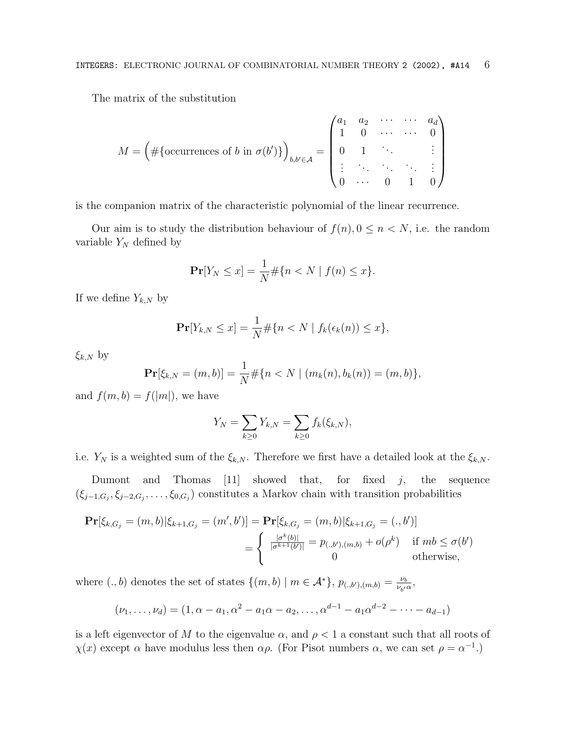The matrix of the substitution

$$
M = \left(\#\{\text{occurrences of } b \text{ in } \sigma(b')\}\right)_{b,b' \in \mathcal{A}} = \begin{pmatrix} a_1 & a_2 & \cdots & \cdots & a_d \\ 1 & 0 & \cdots & \cdots & 0 \\ 0 & 1 & \ddots & & \vdots \\ \vdots & \ddots & \ddots & \ddots & \vdots \\ 0 & \cdots & 0 & 1 & 0 \end{pmatrix}
$$

is the companion matrix of the characteristic polynomial of the linear recurrence.

Our aim is to study the distribution behaviour of  $f(n)$ ,  $0 \leq n \leq N$ , i.e. the random variable  $Y_N$  defined by

$$
\Pr[Y_N \le x] = \frac{1}{N} \# \{ n < N \mid f(n) \le x \}.
$$

If we define  $Y_{k,N}$  by

$$
\mathbf{Pr}[Y_{k,N} \leq x] = \frac{1}{N} \# \{ n < N \mid f_k(\epsilon_k(n)) \leq x \},
$$

 $\xi_{k,N}$  by

$$
\mathbf{Pr}[\xi_{k,N} = (m,b)] = \frac{1}{N} \# \{ n < N \mid (m_k(n), b_k(n)) = (m,b) \},
$$

and  $f(m, b) = f(|m|)$ , we have

$$
Y_N = \sum_{k \ge 0} Y_{k,N} = \sum_{k \ge 0} f_k(\xi_{k,N}),
$$

i.e.  $Y_N$  is a weighted sum of the  $\xi_{k,N}$ . Therefore we first have a detailed look at the  $\xi_{k,N}$ .

Dumont and Thomas  $[11]$  showed that, for fixed  $j$ , the sequence  $(\xi_{j-1,G_j},\xi_{j-2,G_j},\ldots,\xi_{0,G_j})$  constitutes a Markov chain with transition probabilities

$$
\begin{split} \mathbf{Pr}[\xi_{k,G_j} = (m, b) | \xi_{k+1,G_j} = (m', b')] &= \mathbf{Pr}[\xi_{k,G_j} = (m, b) | \xi_{k+1,G_j} = (., b')] \\ &= \begin{cases} \frac{|\sigma^k(b)|}{|\sigma^{k+1}(b')|} = p_{(.,b'),(m,b)} + o(\rho^k) & \text{if } mb \le \sigma(b') \\ 0 & \text{otherwise,} \end{cases} \end{split}
$$

where  $(., b)$  denotes the set of states  $\{(m, b) | m \in \mathcal{A}^*\}, p_{(.,b'),(m, b)} = \frac{\nu_b}{\nu_{b'}\alpha}$ ,

$$
(\nu_1, \ldots, \nu_d) = (1, \alpha - a_1, \alpha^2 - a_1 \alpha - a_2, \ldots, \alpha^{d-1} - a_1 \alpha^{d-2} - \cdots - a_{d-1})
$$

is a left eigenvector of M to the eigenvalue  $\alpha$ , and  $\rho < 1$  a constant such that all roots of  $\chi(x)$  except  $\alpha$  have modulus less then  $\alpha \rho$ . (For Pisot numbers  $\alpha$ , we can set  $\rho = \alpha^{-1}$ .)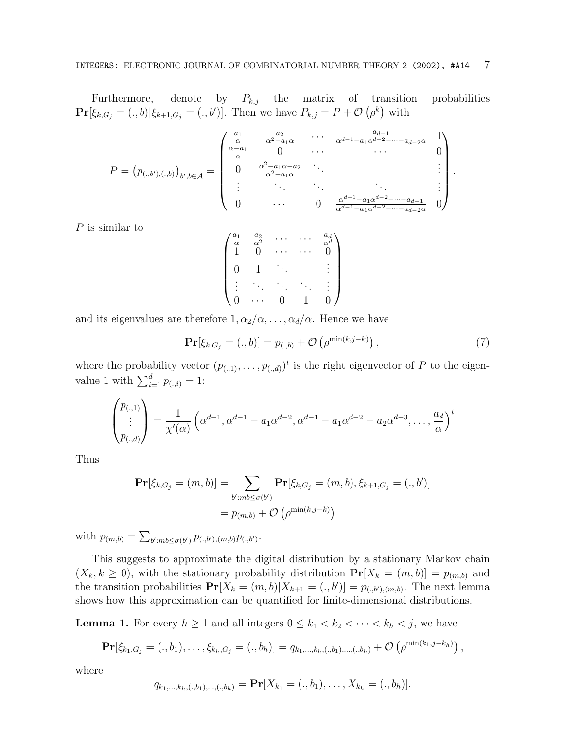Furthermore, denote by  $P_{k,j}$  the matrix of transition probabilities  $\Pr[\xi_{k,G_j} = (.,b)|\xi_{k+1,G_j} = (.,b')].$  Then we have  $P_{k,j} = P + \mathcal{O}(\rho^k)$  with

$$
P = (p_{(.,b'),(.,b)})_{b',b \in \mathcal{A}} = \begin{pmatrix} \frac{a_1}{\alpha} & \frac{a_2}{\alpha^2 - a_1 \alpha} & \cdots & \frac{a_{d-1}}{\alpha^{d-1} - a_1 \alpha^{d-2} - \cdots - a_{d-2} \alpha} & 1 \\ \frac{\alpha - a_1}{\alpha} & 0 & \cdots & \cdots & 0 \\ 0 & \frac{\alpha^2 - a_1 \alpha - a_2}{\alpha^2 - a_1 \alpha} & \cdots & \vdots \\ \vdots & \ddots & \ddots & \ddots & \vdots \\ 0 & \cdots & 0 & \frac{\alpha^{d-1} - a_1 \alpha^{d-2} - \cdots - a_{d-1}}{\alpha^{d-1} - a_1 \alpha^{d-2} - \cdots - a_{d-2} \alpha} & 0 \end{pmatrix}.
$$

 $P$  is similar to

$$
\begin{pmatrix}\n\frac{a_1}{\alpha} & \frac{a_2}{\alpha^2} & \cdots & \cdots & \frac{a_d}{\alpha^d} \\
1 & 0 & \cdots & \cdots & 0 \\
0 & 1 & \ddots & & \vdots \\
\vdots & \ddots & \ddots & \ddots & \vdots \\
0 & \cdots & 0 & 1 & 0\n\end{pmatrix}
$$

and its eigenvalues are therefore  $1, \alpha_2/\alpha, \ldots, \alpha_d/\alpha$ . Hence we have

$$
\Pr[\xi_{k,G_j} = (.,b)] = p_{(.,b)} + \mathcal{O}\left(\rho^{\min(k,j-k)}\right),\tag{7}
$$

where the probability vector  $(p_{(.,1)},\ldots,p_{(.,d)})^t$  is the right eigenvector of P to the eigenvalue 1 with  $\sum_{i=1}^{d} p_{(.,i)} = 1$ :

$$
\begin{pmatrix} p_{(.,1)} \\ \vdots \\ p_{(.,d)} \end{pmatrix} = \frac{1}{\chi'(\alpha)} \left( \alpha^{d-1}, \alpha^{d-1} - a_1 \alpha^{d-2}, \alpha^{d-1} - a_1 \alpha^{d-2} - a_2 \alpha^{d-3}, \dots, \frac{a_d}{\alpha} \right)^t
$$

Thus

$$
\mathbf{Pr}[\xi_{k,G_j} = (m, b)] = \sum_{b': mb \le \sigma(b')} \mathbf{Pr}[\xi_{k,G_j} = (m, b), \xi_{k+1,G_j} = (., b')]
$$

$$
= p_{(m,b)} + \mathcal{O}\left(\rho^{\min(k, j-k)}\right)
$$

with  $p_{(m,b)} = \sum_{b':mb \leq \sigma(b')} p_{(.,b'),(m,b)} p_{(.,b')}.$ 

This suggests to approximate the digital distribution by a stationary Markov chain  $(X_k, k \geq 0)$ , with the stationary probability distribution  $\mathbf{Pr}[X_k = (m, b)] = p_{(m, b)}$  and the transition probabilities  $Pr[X_k = (m, b) | X_{k+1} = (., b')] = p_{(., b'),(m, b)}$ . The next lemma shows how this approximation can be quantified for finite-dimensional distributions.

**Lemma 1.** For every  $h \ge 1$  and all integers  $0 \le k_1 < k_2 < \cdots < k_h < j$ , we have

$$
\Pr[\xi_{k_1,G_j}=(.,b_1),\ldots,\xi_{k_h,G_j}=(.,b_h)]=q_{k_1,\ldots,k_h,(.,b_1),\ldots,(.,b_h)}+\mathcal{O}\left(\rho^{\min(k_1,j-k_h)}\right),
$$

where

$$
q_{k_1,\ldots,k_h, (.,b_1),\ldots, (.,b_h)} = \Pr[X_{k_1} = (.,b_1),\ldots,X_{k_h} = (.,b_h)].
$$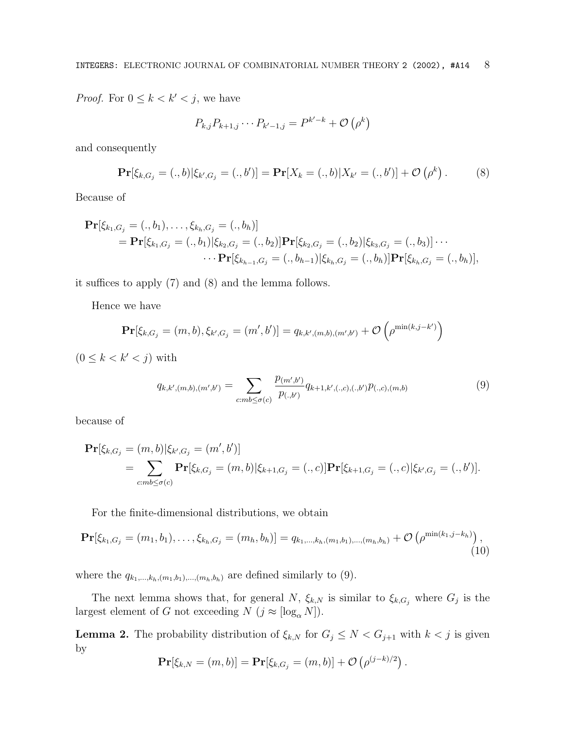*Proof.* For  $0 \leq k < k' < j$ , we have

$$
P_{k,j}P_{k+1,j}\cdots P_{k'-1,j} = P^{k'-k} + \mathcal{O}(\rho^k)
$$

and consequently

$$
\Pr[\xi_{k,G_j} = (.,b)|\xi_{k',G_j} = (.,b')] = \Pr[X_k = (.,b)|X_{k'} = (.,b')] + \mathcal{O}(\rho^k).
$$
 (8)

Because of

$$
\begin{split} \mathbf{Pr}[\xi_{k_1,G_j} = (.,b_1),\ldots,\xi_{k_h,G_j} = (.,b_h)] \\ &= \mathbf{Pr}[\xi_{k_1,G_j} = (.,b_1)|\xi_{k_2,G_j} = (.,b_2)]\mathbf{Pr}[\xi_{k_2,G_j} = (.,b_2)|\xi_{k_3,G_j} = (.,b_3)]\cdots \\ &\cdots \mathbf{Pr}[\xi_{k_{h-1},G_j} = (.,b_{h-1})|\xi_{k_h,G_j} = (.,b_h)]\mathbf{Pr}[\xi_{k_h,G_j} = (.,b_h)], \end{split}
$$

it suffices to apply (7) and (8) and the lemma follows.

Hence we have

$$
\Pr[\xi_{k,G_j} = (m, b), \xi_{k',G_j} = (m', b')] = q_{k,k',(m,b),(m',b')} + \mathcal{O}\left(\rho^{\min(k,j-k')}\right)
$$

 $(0 \leq k < k' < j)$  with

$$
q_{k,k',(m,b),(m',b')} = \sum_{c:mb \le \sigma(c)} \frac{p_{(m',b')}}{p_{(.,b')}} q_{k+1,k',(.,c),(.,b')} p_{(.,c),(m,b)}
$$
(9)

because of

$$
\mathbf{Pr}[\xi_{k,G_j} = (m, b) | \xi_{k',G_j} = (m', b')]
$$
  
= 
$$
\sum_{c: mb \le \sigma(c)} \mathbf{Pr}[\xi_{k,G_j} = (m, b) | \xi_{k+1,G_j} = (., c)] \mathbf{Pr}[\xi_{k+1,G_j} = (., c) | \xi_{k',G_j} = (., b')].
$$

For the finite-dimensional distributions, we obtain

$$
\mathbf{Pr}[\xi_{k_1,G_j} = (m_1,b_1),\ldots,\xi_{k_h,G_j} = (m_h,b_h)] = q_{k_1,\ldots,k_h,(m_1,b_1),\ldots,(m_h,b_h)} + \mathcal{O}\left(\rho^{\min(k_1,j-k_h)}\right),\tag{10}
$$

where the  $q_{k_1,\ldots,k_h,(m_1,b_1),\ldots,(m_h,b_h)}$  are defined similarly to (9).

The next lemma shows that, for general N,  $\xi_{k,N}$  is similar to  $\xi_{k,G_j}$  where  $G_j$  is the largest element of  $G$  not exceeding  $N$   $(j\approx [\log_{\alpha}N]).$ 

**Lemma 2.** The probability distribution of  $\xi_{k,N}$  for  $G_j \leq N < G_{j+1}$  with  $k < j$  is given by

$$
\Pr[\xi_{k,N} = (m,b)] = \Pr[\xi_{k,G_j} = (m,b)] + \mathcal{O}(\rho^{(j-k)/2}).
$$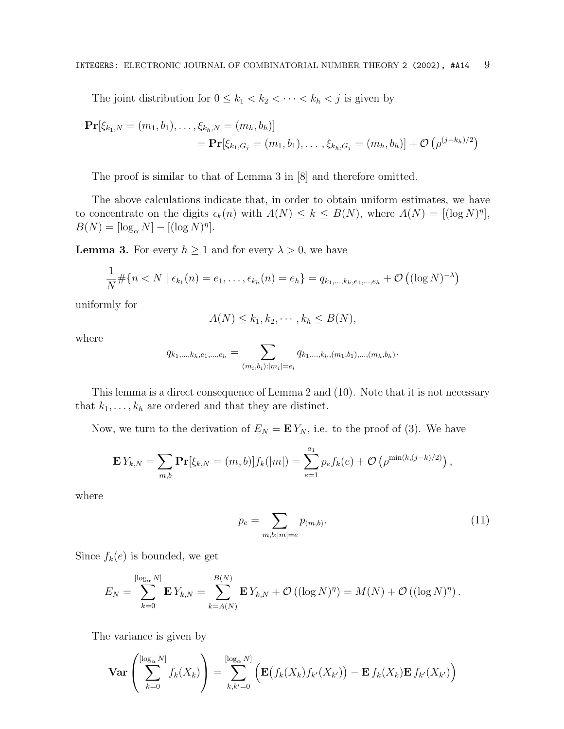The joint distribution for  $0 \leq k_1 < k_2 < \cdots < k_h < j$  is given by

$$
\mathbf{Pr}[\xi_{k_1,N} = (m_1, b_1), \dots, \xi_{k_h,N} = (m_h, b_h)]
$$
  
= 
$$
\mathbf{Pr}[\xi_{k_1,G_j} = (m_1, b_1), \dots, \xi_{k_h,G_j} = (m_h, b_h)] + \mathcal{O}(\rho^{(j-k_h)/2})
$$

The proof is similar to that of Lemma 3 in [8] and therefore omitted.

The above calculations indicate that, in order to obtain uniform estimates, we have to concentrate on the digits  $\epsilon_k(n)$  with  $A(N) \leq k \leq B(N)$ , where  $A(N) = [(\log N)^{\eta}],$  $B(N) = [\log_\alpha N] - [(\log N)^\eta].$ 

**Lemma 3.** For every  $h \geq 1$  and for every  $\lambda > 0$ , we have

$$
\frac{1}{N} \# \{ n < N \mid \epsilon_{k_1}(n) = e_1, \dots, \epsilon_{k_h}(n) = e_h \} = q_{k_1, \dots, k_h, e_1, \dots, e_h} + \mathcal{O} \left( (\log N)^{-\lambda} \right)
$$

uniformly for

$$
A(N) \leq k_1, k_2, \cdots, k_h \leq B(N),
$$

where

$$
q_{k_1,\ldots,k_h,e_1,\ldots,e_h} = \sum_{(m_i,b_i):|m_i|=e_i} q_{k_1,\ldots,k_h,(m_1,b_1),\ldots,(m_h,b_h)}.
$$

This lemma is a direct consequence of Lemma 2 and (10). Note that it is not necessary that  $k_1, \ldots, k_h$  are ordered and that they are distinct.

Now, we turn to the derivation of  $E_N = \mathbf{E} Y_N$ , i.e. to the proof of (3). We have

$$
\mathbf{E} Y_{k,N} = \sum_{m,b} \mathbf{Pr}[\xi_{k,N} = (m,b)] f_k(|m|) = \sum_{e=1}^{a_1} p_e f_k(e) + \mathcal{O} \left( \rho^{\min(k,(j-k)/2)} \right),
$$

where

$$
p_e = \sum_{m,b:|m|=e} p_{(m,b)}.\tag{11}
$$

Since  $f_k(e)$  is bounded, we get

$$
E_N = \sum_{k=0}^{\lfloor \log_{\alpha} N \rfloor} \mathbf{E} Y_{k,N} = \sum_{k=A(N)}^{B(N)} \mathbf{E} Y_{k,N} + \mathcal{O} \left( (\log N)^{\eta} \right) = M(N) + \mathcal{O} \left( (\log N)^{\eta} \right).
$$

The variance is given by

$$
\mathbf{Var}\left(\sum_{k=0}^{\left[\log_{\alpha} N\right]} f_k(X_k)\right) = \sum_{k,k'=0}^{\left[\log_{\alpha} N\right]} \left(\mathbf{E}\big(f_k(X_k)f_{k'}(X_{k'})\big) - \mathbf{E}\, f_k(X_k)\mathbf{E}\, f_{k'}(X_{k'})\right)
$$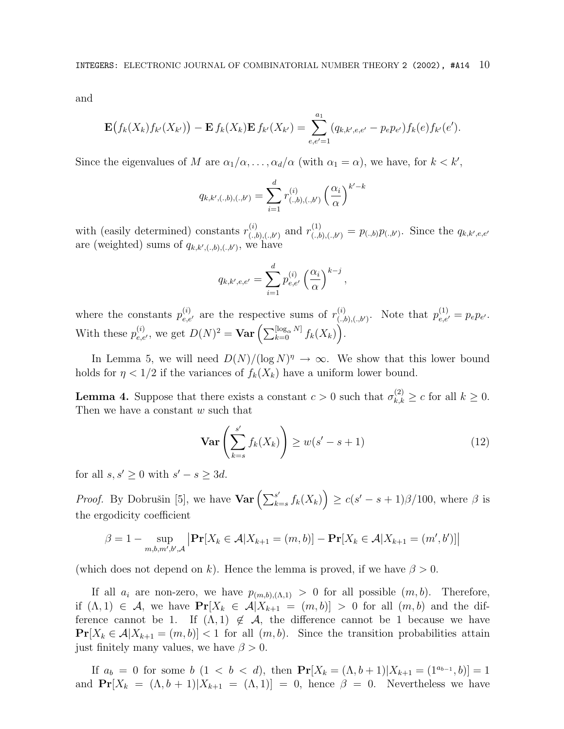and

$$
\mathbf{E}\big(f_k(X_k)f_{k'}(X_{k'})\big)-\mathbf{E}\,f_k(X_k)\mathbf{E}\,f_{k'}(X_{k'})=\sum_{e,e'=1}^{a_1}(q_{k,k',e,e'}-p_e p_{e'})f_k(e)f_{k'}(e').
$$

Since the eigenvalues of M are  $\alpha_1/\alpha, \ldots, \alpha_d/\alpha$  (with  $\alpha_1 = \alpha$ ), we have, for  $k < k'$ ,

$$
q_{k,k',(.,b),(.,b')} = \sum_{i=1}^{d} r_{(.,b),(.,b')}^{(i)} \left(\frac{\alpha_i}{\alpha}\right)^{k'-k}
$$

with (easily determined) constants  $r_{(.,b),(.,b')}^{(i)}$  and  $r_{(.,b),(.,b')}^{(1)} = p_{(.,b)}p_{(.,b')}$ . Since the  $q_{k,k',e,e'}$ are (weighted) sums of  $q_{k,k',(.,b),(.,b')},$  we have

$$
q_{k,k',e,e'} = \sum_{i=1}^{d} p_{e,e'}^{(i)} \left(\frac{\alpha_i}{\alpha}\right)^{k-j},
$$

where the constants  $p_{e,e'}^{(i)}$  are the respective sums of  $r_{(.,b),(.,b')}^{(i)}$ . Note that  $p_{e,e'}^{(1)} = p_e p_{e'}$ . With these  $p_{e,e'}^{(i)}$ , we get  $D(N)^2 = \textbf{Var}\left(\sum_{k=0}^{\lfloor \log_{\alpha} N \rfloor} f_k(X_k)\right)$ .

In Lemma 5, we will need  $D(N)/(\log N)^{\eta} \to \infty$ . We show that this lower bound holds for  $\eta < 1/2$  if the variances of  $f_k(X_k)$  have a uniform lower bound.

**Lemma 4.** Suppose that there exists a constant  $c > 0$  such that  $\sigma_{k,k}^{(2)} \geq c$  for all  $k \geq 0$ . Then we have a constant w such that

$$
\mathbf{Var}\left(\sum_{k=s}^{s'} f_k(X_k)\right) \ge w(s'-s+1) \tag{12}
$$

for all  $s, s' \geq 0$  with  $s' - s \geq 3d$ .

*Proof.* By Dobrušin [5], we have  $\text{Var}\left(\sum_{k=s}^{s'} f_k(X_k)\right) \geq c(s'-s+1)\beta/100$ , where  $\beta$  is the ergodicity coefficient

$$
\beta = 1 - \sup_{m,b,m',b',\mathcal{A}} \left| \mathbf{Pr}[X_k \in \mathcal{A} | X_{k+1} = (m, b)] - \mathbf{Pr}[X_k \in \mathcal{A} | X_{k+1} = (m', b')] \right|
$$

(which does not depend on k). Hence the lemma is proved, if we have  $\beta > 0$ .

If all  $a_i$  are non-zero, we have  $p_{(m,b),(A,1)} > 0$  for all possible  $(m, b)$ . Therefore, if  $(\Lambda, 1) \in \mathcal{A}$ , we have  $\Pr[X_k \in \mathcal{A}|X_{k+1} = (m, b)] > 0$  for all  $(m, b)$  and the difference cannot be 1. If  $(\Lambda,1) \notin \mathcal{A}$ , the difference cannot be 1 because we have  $\Pr[X_k \in A | X_{k+1} = (m, b)] < 1$  for all  $(m, b)$ . Since the transition probabilities attain just finitely many values, we have  $\beta > 0$ .

If  $a_b = 0$  for some  $b \ (1 \ < b \ < d)$ , then  $\Pr[X_k = (\Lambda, b + 1)|X_{k+1} = (1^{a_{b-1}}, b)] = 1$ and  $Pr[X_k = (\Lambda, b + 1)|X_{k+1} = (\Lambda, 1)] = 0$ , hence  $\beta = 0$ . Nevertheless we have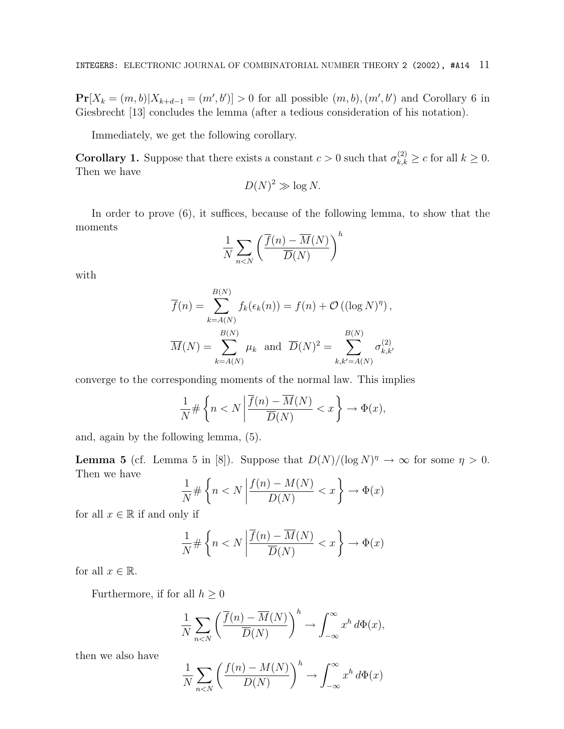$Pr[X_k = (m, b) | X_{k+d-1} = (m', b')] > 0$  for all possible  $(m, b), (m', b')$  and Corollary 6 in Giesbrecht [13] concludes the lemma (after a tedious consideration of his notation).

Immediately, we get the following corollary.

**Corollary 1.** Suppose that there exists a constant  $c > 0$  such that  $\sigma_{k,k}^{(2)} \geq c$  for all  $k \geq 0$ . Then we have

$$
D(N)^2 \gg \log N.
$$

In order to prove (6), it suffices, because of the following lemma, to show that the moments  $\boldsymbol{h}$ 

$$
\frac{1}{N} \sum_{n < N} \left( \frac{\overline{f}(n) - \overline{M}(N)}{\overline{D}(N)} \right)^n
$$

with

$$
\overline{f}(n) = \sum_{k=A(N)}^{B(N)} f_k(\epsilon_k(n)) = f(n) + \mathcal{O}\left((\log N)^{\eta}\right),
$$
  

$$
\overline{M}(N) = \sum_{k=A(N)}^{B(N)} \mu_k \text{ and } \overline{D}(N)^2 = \sum_{k,k'=A(N)}^{B(N)} \sigma_{k,k'}^{(2)}
$$

converge to the corresponding moments of the normal law. This implies

$$
\frac{1}{N} \# \left\{ n < N \left| \frac{\overline{f}(n) - \overline{M}(N)}{\overline{D}(N)} < x \right. \right\} \to \Phi(x),
$$

and, again by the following lemma, (5).

**Lemma 5** (cf. Lemma 5 in [8]). Suppose that  $D(N)/(\log N)^{\eta} \to \infty$  for some  $\eta > 0$ . Then we have

$$
\frac{1}{N} \# \left\{ n < N \left| \frac{f(n) - M(N)}{D(N)} < x \right. \right\} \to \Phi(x)
$$

for all  $x \in \mathbb{R}$  if and only if

$$
\frac{1}{N} \# \left\{ n < N \left| \frac{\overline{f}(n) - \overline{M}(N)}{\overline{D}(N)} < x \right. \right\} \to \Phi(x)
$$

for all  $x \in \mathbb{R}$ .

Furthermore, if for all  $h\geq 0$ 

$$
\frac{1}{N} \sum_{n < N} \left( \frac{\overline{f}(n) - \overline{M}(N)}{\overline{D}(N)} \right)^h \to \int_{-\infty}^{\infty} x^h \, d\Phi(x),
$$

then we also have

$$
\frac{1}{N} \sum_{n < N} \left( \frac{f(n) - M(N)}{D(N)} \right)^h \to \int_{-\infty}^{\infty} x^h \, d\Phi(x)
$$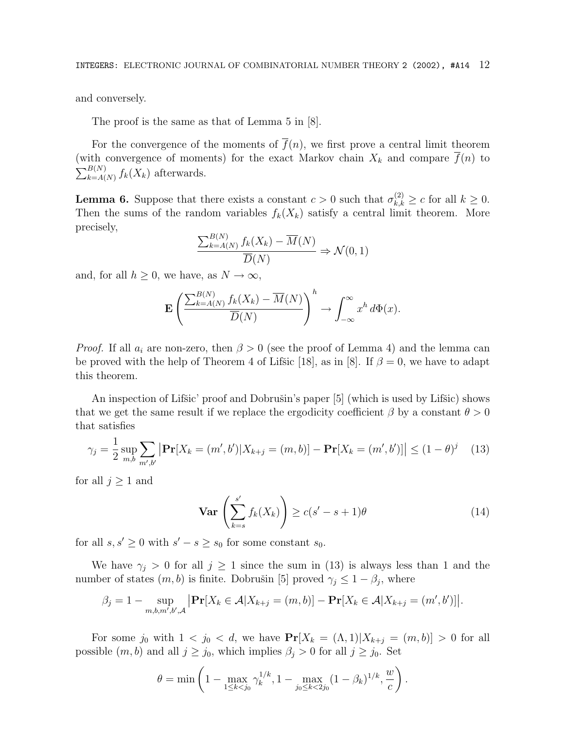and conversely.

The proof is the same as that of Lemma 5 in [8].

For the convergence of the moments of  $\overline{f}(n)$ , we first prove a central limit theorem (with convergence of moments) for the exact Markov chain  $X_k$  and compare  $\overline{f}(n)$  to  $\sum_{k=A(N)}^{B(N)} f_k(X_k)$  afterwards.

**Lemma 6.** Suppose that there exists a constant  $c > 0$  such that  $\sigma_{k,k}^{(2)} \geq c$  for all  $k \geq 0$ . Then the sums of the random variables  $f_k(X_k)$  satisfy a central limit theorem. More precisely,

$$
\frac{\sum_{k=A(N)}^{B(N)} f_k(X_k) - \overline{M}(N)}{\overline{D}(N)} \Rightarrow \mathcal{N}(0,1)
$$

and, for all  $h \geq 0$ , we have, as  $N \to \infty$ ,

$$
\mathbf{E}\left(\frac{\sum_{k=A(N)}^{B(N)} f_k(X_k) - \overline{M}(N)}{\overline{D}(N)}\right)^h \to \int_{-\infty}^{\infty} x^h d\Phi(x).
$$

*Proof.* If all  $a_i$  are non-zero, then  $\beta > 0$  (see the proof of Lemma 4) and the lemma can be proved with the help of Theorem 4 of Lifšic [18], as in [8]. If  $\beta = 0$ , we have to adapt this theorem.

An inspection of Lifšic' proof and Dobrušin's paper  $[5]$  (which is used by Lifšic) shows that we get the same result if we replace the ergodicity coefficient  $\beta$  by a constant  $\theta > 0$ that satisfies

$$
\gamma_j = \frac{1}{2} \sup_{m,b} \sum_{m',b'} \left| \mathbf{Pr}[X_k = (m', b')] X_{k+j} = (m, b) \right| - \mathbf{Pr}[X_k = (m', b')] \le (1 - \theta)^j \tag{13}
$$

for all  $j \geq 1$  and

$$
\mathbf{Var}\left(\sum_{k=s}^{s'} f_k(X_k)\right) \ge c(s'-s+1)\theta\tag{14}
$$

for all  $s, s' \geq 0$  with  $s' - s \geq s_0$  for some constant  $s_0$ .

We have  $\gamma_j > 0$  for all  $j \ge 1$  since the sum in (13) is always less than 1 and the number of states  $(m, b)$  is finite. Dobrušin [5] proved  $\gamma_j \leq 1 - \beta_j$ , where

$$
\beta_j = 1 - \sup_{m,b,m',b',\mathcal{A}} \left| \mathbf{Pr}[X_k \in \mathcal{A}|X_{k+j} = (m,b)] - \mathbf{Pr}[X_k \in \mathcal{A}|X_{k+j} = (m',b')] \right|.
$$

For some  $j_0$  with  $1 < j_0 < d$ , we have  $Pr[X_k = (\Lambda, 1)|X_{k+j} = (m, b)] > 0$  for all possible  $(m, b)$  and all  $j \ge j_0$ , which implies  $\beta_j > 0$  for all  $j \ge j_0$ . Set

$$
\theta = \min\left(1 - \max_{1 \leq k < j_0} \gamma_k^{1/k}, 1 - \max_{j_0 \leq k < 2j_0} (1 - \beta_k)^{1/k}, \frac{w}{c}\right).
$$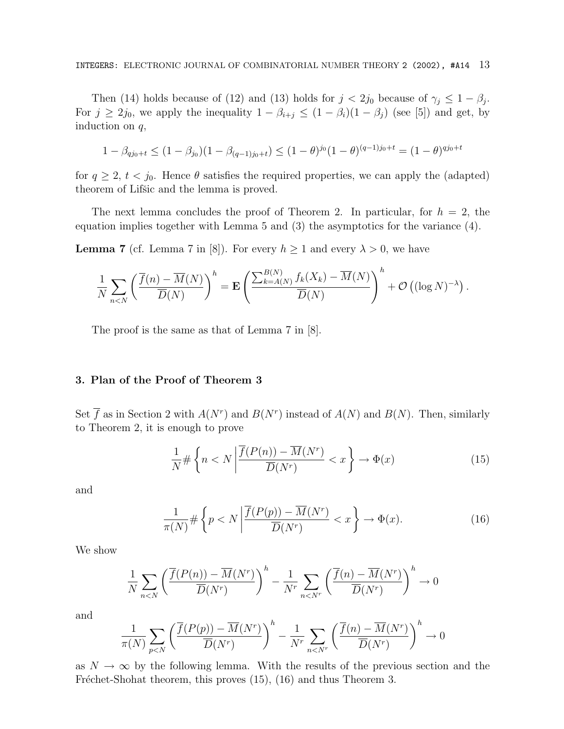Then (14) holds because of (12) and (13) holds for  $j < 2j_0$  because of  $\gamma_j \leq 1 - \beta_j$ . For  $j \ge 2j_0$ , we apply the inequality  $1 - \beta_{i+j} \le (1 - \beta_i)(1 - \beta_j)$  (see [5]) and get, by induction on  $q$ ,

$$
1 - \beta_{qj_0+t} \le (1 - \beta_{j_0})(1 - \beta_{(q-1)j_0+t}) \le (1 - \theta)^{j_0}(1 - \theta)^{(q-1)j_0+t} = (1 - \theta)^{qj_0+t}
$$

for  $q \geq 2$ ,  $t < j_0$ . Hence  $\theta$  satisfies the required properties, we can apply the (adapted) theorem of Lifšic and the lemma is proved.

The next lemma concludes the proof of Theorem 2. In particular, for  $h = 2$ , the equation implies together with Lemma 5 and (3) the asymptotics for the variance (4).

**Lemma 7** (cf. Lemma 7 in [8]). For every  $h \ge 1$  and every  $\lambda > 0$ , we have

$$
\frac{1}{N} \sum_{n < N} \left( \frac{\overline{f}(n) - \overline{M}(N)}{\overline{D}(N)} \right)^h = \mathbf{E} \left( \frac{\sum_{k = A(N)}^{B(N)} f_k(X_k) - \overline{M}(N)}{\overline{D}(N)} \right)^h + \mathcal{O}\left( (\log N)^{-\lambda} \right).
$$

The proof is the same as that of Lemma 7 in [8].

# **3. Plan of the Proof of Theorem 3**

Set  $\overline{f}$  as in Section 2 with  $A(N^r)$  and  $B(N^r)$  instead of  $A(N)$  and  $B(N)$ . Then, similarly to Theorem 2, it is enough to prove

$$
\frac{1}{N} \# \left\{ n < N \left| \frac{\overline{f}(P(n)) - \overline{M}(N^r)}{\overline{D}(N^r)} < x \right. \right\} \to \Phi(x) \tag{15}
$$

and

$$
\frac{1}{\pi(N)} \# \left\{ p < N \left| \frac{\overline{f}(P(p)) - \overline{M}(N^r)}{\overline{D}(N^r)} < x \right. \right\} \to \Phi(x). \tag{16}
$$

We show

$$
\frac{1}{N} \sum_{n < N} \left( \frac{\overline{f}(P(n)) - \overline{M}(N^r)}{\overline{D}(N^r)} \right)^h - \frac{1}{N^r} \sum_{n < N^r} \left( \frac{\overline{f}(n) - \overline{M}(N^r)}{\overline{D}(N^r)} \right)^h \to 0
$$

and

$$
\frac{1}{\pi(N)} \sum_{p
$$

as  $N \to \infty$  by the following lemma. With the results of the previous section and the Fréchet-Shohat theorem, this proves  $(15)$ ,  $(16)$  and thus Theorem 3.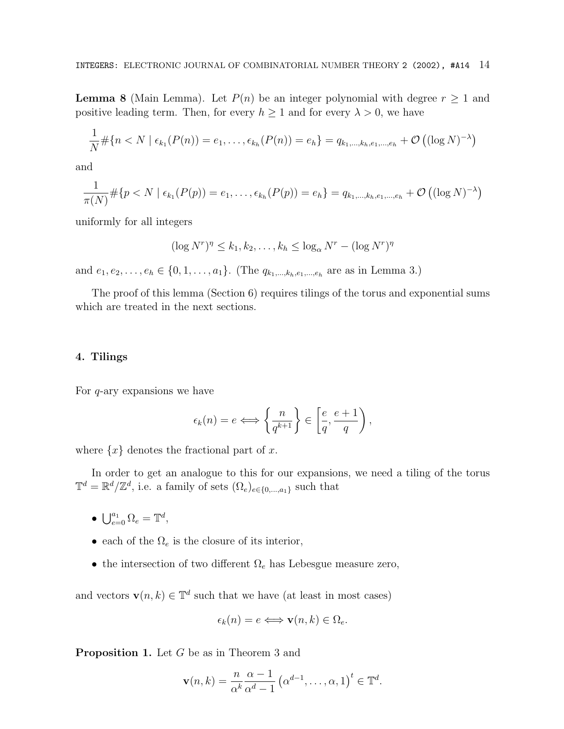**Lemma 8** (Main Lemma). Let  $P(n)$  be an integer polynomial with degree  $r \geq 1$  and positive leading term. Then, for every  $h \geq 1$  and for every  $\lambda > 0$ , we have

$$
\frac{1}{N} \# \{ n < N \mid \epsilon_{k_1}(P(n)) = e_1, \ldots, \epsilon_{k_h}(P(n)) = e_h \} = q_{k_1, \ldots, k_h, e_1, \ldots, e_h} + \mathcal{O}\left( (\log N)^{-\lambda} \right)
$$

and

$$
\frac{1}{\pi(N)} \# \{ p < N \mid \epsilon_{k_1}(P(p)) = e_1, \dots, \epsilon_{k_h}(P(p)) = e_h \} = q_{k_1, \dots, k_h, e_1, \dots, e_h} + \mathcal{O} \left( (\log N)^{-\lambda} \right)
$$

uniformly for all integers

$$
(\log N^r)^{\eta} \le k_1, k_2, \dots, k_h \le \log_{\alpha} N^r - (\log N^r)^{\eta}
$$

and  $e_1, e_2, \ldots, e_h \in \{0, 1, \ldots, a_1\}$ . (The  $q_{k_1,\ldots,k_h,e_1,\ldots,e_h}$  are as in Lemma 3.)

The proof of this lemma (Section 6) requires tilings of the torus and exponential sums which are treated in the next sections.

## **4. Tilings**

For q-ary expansions we have

$$
\epsilon_k(n) = e \Longleftrightarrow \left\{ \frac{n}{q^{k+1}} \right\} \in \left[ \frac{e}{q}, \frac{e+1}{q} \right),\,
$$

where  $\{x\}$  denotes the fractional part of x.

In order to get an analogue to this for our expansions, we need a tiling of the torus  $\mathbb{T}^d = \mathbb{R}^d/\mathbb{Z}^d$ , i.e. a family of sets  $(\Omega_e)_{e \in \{0,\dots,a_1\}}$  such that

•  $\bigcup_{e=0}^{a_1} \Omega_e = \mathbb{T}^d$ ,

- each of the  $\Omega_e$  is the closure of its interior,
- the intersection of two different  $\Omega_e$  has Lebesgue measure zero,

and vectors  $\mathbf{v}(n, k) \in \mathbb{T}^d$  such that we have (at least in most cases)

$$
\epsilon_k(n) = e \Longleftrightarrow \mathbf{v}(n,k) \in \Omega_e.
$$

**Proposition 1.** Let G be as in Theorem 3 and

$$
\mathbf{v}(n,k) = \frac{n}{\alpha^k} \frac{\alpha - 1}{\alpha^d - 1} \left( \alpha^{d-1}, \dots, \alpha, 1 \right)^t \in \mathbb{T}^d.
$$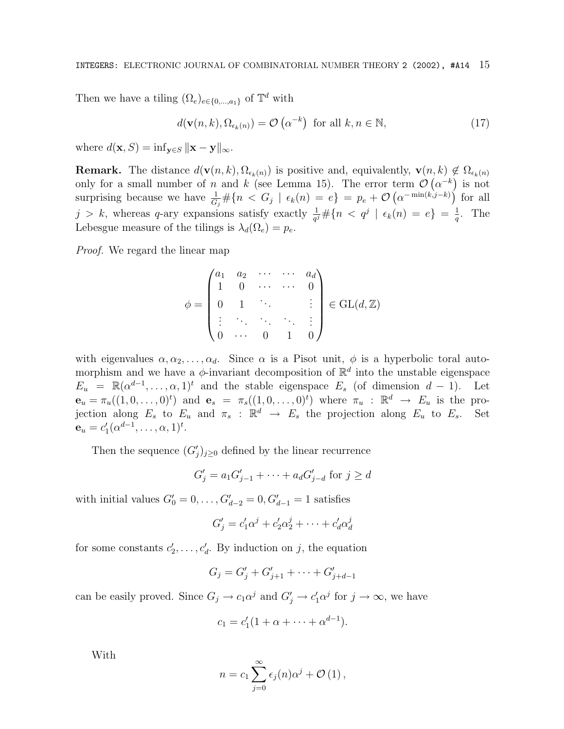Then we have a tiling  $(\Omega_e)_{e \in \{0,\ldots,a_1\}}$  of  $\mathbb{T}^d$  with

$$
d(\mathbf{v}(n,k),\Omega_{\epsilon_k(n)}) = \mathcal{O}\left(\alpha^{-k}\right) \text{ for all } k, n \in \mathbb{N},\tag{17}
$$

where  $d(\mathbf{x}, S) = \inf_{\mathbf{y} \in S} ||\mathbf{x} - \mathbf{y}||_{\infty}$ .

**Remark.** The distance  $d(\mathbf{v}(n, k), \Omega_{\epsilon_k(n)})$  is positive and, equivalently,  $\mathbf{v}(n, k) \notin \Omega_{\epsilon_k(n)}$ only for a small number of n and k (see Lemma 15). The error term  $\mathcal{O}(\alpha^{-k})$  is not surprising because we have  $\frac{1}{G_j} \# \{n \langle G_j | \epsilon_k(n) = e \} = p_e + \mathcal{O}(\alpha^{-\min(k,j-k)})$  for all  $j > k$ , whereas q-ary expansions satisfy exactly  $\frac{1}{q^j} \# \{n < q^j \mid \epsilon_k(n) = e\} = \frac{1}{q}$ . The Lebesgue measure of the tilings is  $\lambda_d(\Omega_e) = p_e$ .

Proof. We regard the linear map

$$
\phi = \begin{pmatrix} a_1 & a_2 & \cdots & \cdots & a_d \\ 1 & 0 & \cdots & \cdots & 0 \\ 0 & 1 & \ddots & & \vdots \\ \vdots & \ddots & \ddots & \ddots & \vdots \\ 0 & \cdots & 0 & 1 & 0 \end{pmatrix} \in GL(d, \mathbb{Z})
$$

with eigenvalues  $\alpha, \alpha_2, \ldots, \alpha_d$ . Since  $\alpha$  is a Pisot unit,  $\phi$  is a hyperbolic toral automorphism and we have a  $\phi$ -invariant decomposition of  $\mathbb{R}^d$  into the unstable eigenspace  $E_u = \mathbb{R}(\alpha^{d-1}, \ldots, \alpha, 1)^t$  and the stable eigenspace  $E_s$  (of dimension  $d-1$ ). Let  $\mathbf{e}_u = \pi_u((1,0,\ldots,0)^t)$  and  $\mathbf{e}_s = \pi_s((1,0,\ldots,0)^t)$  where  $\pi_u : \mathbb{R}^d \to E_u$  is the projection along  $E_s$  to  $E_u$  and  $\pi_s$ :  $\mathbb{R}^d \to E_s$  the projection along  $E_u$  to  $E_s$ . Set  $$ 

Then the sequence  $(G'_j)_{j\geq 0}$  defined by the linear recurrence

$$
G'_{j} = a_1 G'_{j-1} + \dots + a_d G'_{j-d} \text{ for } j \ge d
$$

with initial values  $G'_0 = 0, ..., G'_{d-2} = 0, G'_{d-1} = 1$  satisfies

$$
G'_{j} = c'_{1}\alpha^{j} + c'_{2}\alpha^{j}_{2} + \cdots + c'_{d}\alpha^{j}_{d}
$$

for some constants  $c'_2, \ldots, c'_d$ . By induction on j, the equation

$$
G_j = G'_j + G'_{j+1} + \dots + G'_{j+d-1}
$$

can be easily proved. Since  $G_j \to c_1 \alpha^j$  and  $G'_j \to c'_1 \alpha^j$  for  $j \to \infty$ , we have

$$
c_1 = c'_1(1 + \alpha + \dots + \alpha^{d-1}).
$$

With

$$
n = c_1 \sum_{j=0}^{\infty} \epsilon_j(n) \alpha^j + \mathcal{O}(1),
$$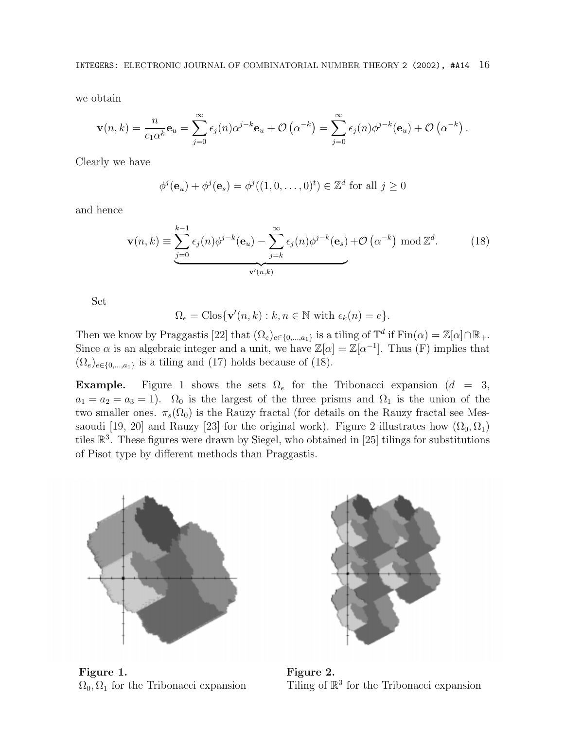we obtain

$$
\mathbf{v}(n,k) = \frac{n}{c_1\alpha^k} \mathbf{e}_u = \sum_{j=0}^{\infty} \epsilon_j(n) \alpha^{j-k} \mathbf{e}_u + \mathcal{O}\left(\alpha^{-k}\right) = \sum_{j=0}^{\infty} \epsilon_j(n) \phi^{j-k}(\mathbf{e}_u) + \mathcal{O}\left(\alpha^{-k}\right).
$$

Clearly we have

$$
\phi^j(\mathbf{e}_u) + \phi^j(\mathbf{e}_s) = \phi^j((1,0,\dots,0)^t) \in \mathbb{Z}^d \text{ for all } j \ge 0
$$

and hence

$$
\mathbf{v}(n,k) \equiv \sum_{j=0}^{k-1} \epsilon_j(n) \phi^{j-k}(\mathbf{e}_u) - \sum_{j=k}^{\infty} \epsilon_j(n) \phi^{j-k}(\mathbf{e}_s) + \mathcal{O}\left(\alpha^{-k}\right) \bmod \mathbb{Z}^d.
$$
 (18)

Set

$$
\Omega_e = \text{Clos}\{\mathbf{v}'(n,k) : k, n \in \mathbb{N} \text{ with } \epsilon_k(n) = e\}.
$$

Then we know by Praggastis [22] that  $(\Omega_e)_{e \in \{0,\ldots,a_1\}}$  is a tiling of  $\mathbb{T}^d$  if  $\text{Fin}(\alpha) = \mathbb{Z}[\alpha] \cap \mathbb{R}_+$ . Since  $\alpha$  is an algebraic integer and a unit, we have  $\mathbb{Z}[\alpha] = \mathbb{Z}[\alpha^{-1}]$ . Thus (F) implies that  $(\Omega_e)_{e \in \{0,\dots,a_1\}}$  is a tiling and (17) holds because of (18).

**Example.** Figure 1 shows the sets  $\Omega_e$  for the Tribonacci expansion  $(d = 3,$  $a_1 = a_2 = a_3 = 1$ .  $\Omega_0$  is the largest of the three prisms and  $\Omega_1$  is the union of the two smaller ones.  $\pi_s(\Omega_0)$  is the Rauzy fractal (for details on the Rauzy fractal see Messaoudi [19, 20] and Rauzy [23] for the original work). Figure 2 illustrates how  $(\Omega_0, \Omega_1)$ tiles  $\mathbb{R}^3$ . These figures were drawn by Siegel, who obtained in [25] tilings for substitutions of Pisot type by different methods than Praggastis.



Figure 1. Figure 2.



 $\Omega_0, \Omega_1$  for the Tribonacci expansion Tiling of  $\mathbb{R}^3$  for the Tribonacci expansion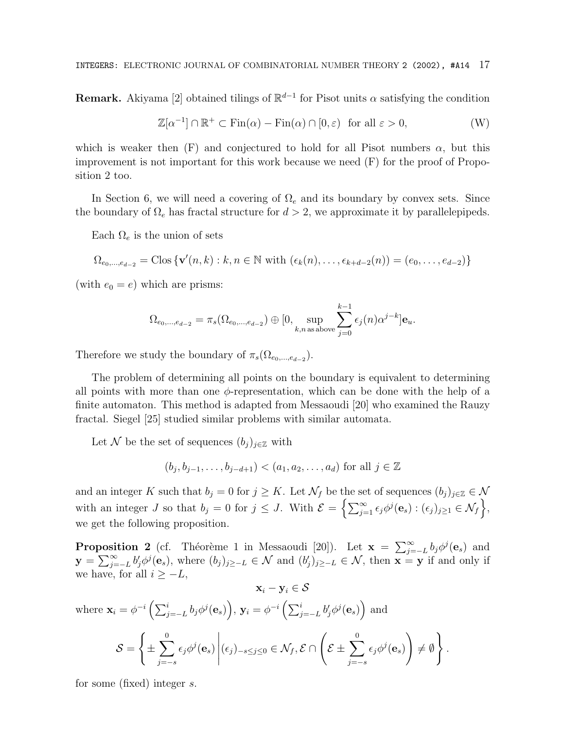**Remark.** Akiyama [2] obtained tilings of  $\mathbb{R}^{d-1}$  for Pisot units  $\alpha$  satisfying the condition

$$
\mathbb{Z}[\alpha^{-1}] \cap \mathbb{R}^+ \subset \text{Fin}(\alpha) - \text{Fin}(\alpha) \cap [0, \varepsilon) \text{ for all } \varepsilon > 0,
$$
 (W)

which is weaker then  $(F)$  and conjectured to hold for all Pisot numbers  $\alpha$ , but this improvement is not important for this work because we need (F) for the proof of Proposition 2 too.

In Section 6, we will need a covering of  $\Omega_e$  and its boundary by convex sets. Since the boundary of  $\Omega_e$  has fractal structure for  $d > 2$ , we approximate it by parallelepipeds.

Each  $\Omega_e$  is the union of sets

$$
\Omega_{e_0,\ldots,e_{d-2}} = \text{Clos}\left\{ \mathbf{v}'(n,k) : k, n \in \mathbb{N} \text{ with } (\epsilon_k(n),\ldots,\epsilon_{k+d-2}(n)) = (e_0,\ldots,e_{d-2}) \right\}
$$

(with  $e_0 = e$ ) which are prisms:

$$
\Omega_{e_0,\dots,e_{d-2}} = \pi_s(\Omega_{e_0,\dots,e_{d-2}}) \oplus [0, \sup_{k,n \text{ as above}} \sum_{j=0}^{k-1} \epsilon_j(n) \alpha^{j-k}] \mathbf{e}_u.
$$

Therefore we study the boundary of  $\pi_s(\Omega_{e_0,\dots,e_{d-2}})$ .

The problem of determining all points on the boundary is equivalent to determining all points with more than one  $\phi$ -representation, which can be done with the help of a finite automaton. This method is adapted from Messaoudi [20] who examined the Rauzy fractal. Siegel [25] studied similar problems with similar automata.

Let N be the set of sequences  $(b_j)_{j\in\mathbb{Z}}$  with

$$
(b_j, b_{j-1}, \ldots, b_{j-d+1}) < (a_1, a_2, \ldots, a_d)
$$
 for all  $j \in \mathbb{Z}$ 

and an integer K such that  $b_j = 0$  for  $j \geq K$ . Let  $\mathcal{N}_f$  be the set of sequences  $(b_j)_{j \in \mathbb{Z}} \in \mathcal{N}$ with an integer J so that  $b_j = 0$  for  $j \leq J$ . With  $\mathcal{E} = \left\{ \sum_{j=1}^{\infty} \epsilon_j \phi^j(\mathbf{e}_s) : (\epsilon_j)_{j \geq 1} \in \mathcal{N}_f \right\},\$ we get the following proposition.

**Proposition 2** (cf. Théorème 1 in Messaoudi [20]). Let  $\mathbf{x} = \sum_{j=-L}^{\infty} b_j \phi^j(\mathbf{e}_s)$  and  $\mathbf{y} = \sum_{j=-L}^{\infty} b'_j \phi^j(\mathbf{e}_s)$ , where  $(b_j)_{j\geq -L} \in \mathcal{N}$  and  $(b'_j)_{j\geq -L} \in \mathcal{N}$ , then  $\mathbf{x} = \mathbf{y}$  if and only if we have, for all  $i \geq -L$ ,  $\mathbf{x}_i - \mathbf{v}_i \in \mathcal{S}$ 

where 
$$
\mathbf{x}_i = \phi^{-i} \left( \sum_{j=-L}^{i} b_j \phi^j(\mathbf{e}_s) \right), \mathbf{y}_i = \phi^{-i} \left( \sum_{j=-L}^{i} b'_j \phi^j(\mathbf{e}_s) \right)
$$
 and  
\n
$$
\mathcal{S} = \left\{ \pm \sum_{j=-s}^{0} \epsilon_j \phi^j(\mathbf{e}_s) \middle| (\epsilon_j)_{-s \le j \le 0} \in \mathcal{N}_f, \mathcal{E} \cap \left( \mathcal{E} \pm \sum_{j=-s}^{0} \epsilon_j \phi^j(\mathbf{e}_s) \right) \ne \emptyset \right\}.
$$

for some (fixed) integer s.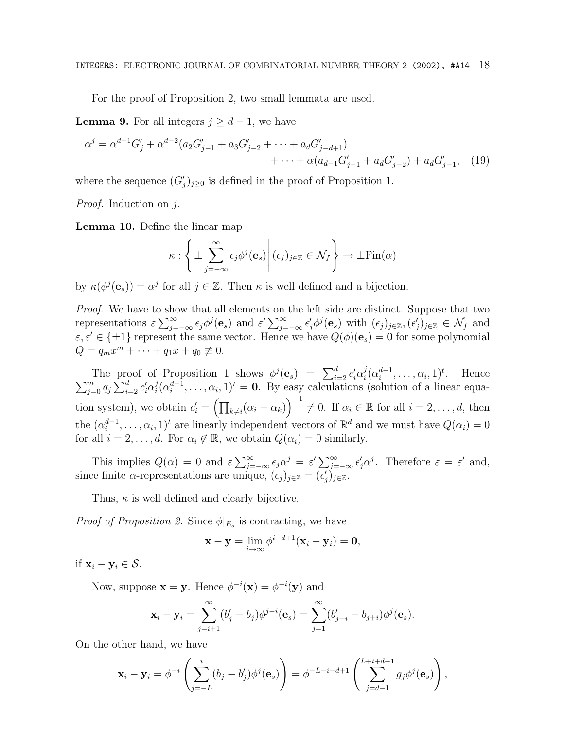For the proof of Proposition 2, two small lemmata are used.

**Lemma 9.** For all integers  $j \geq d-1$ , we have

$$
\alpha^{j} = \alpha^{d-1} G'_{j} + \alpha^{d-2} (a_{2} G'_{j-1} + a_{3} G'_{j-2} + \dots + a_{d} G'_{j-d+1}) + \dots + \alpha (a_{d-1} G'_{j-1} + a_{d} G'_{j-2}) + a_{d} G'_{j-1}, \quad (19)
$$

where the sequence  $(G'_j)_{j\geq 0}$  is defined in the proof of Proposition 1.

Proof. Induction on j.

**Lemma 10.** Define the linear map

$$
\kappa : \left\{ \pm \sum_{j=-\infty}^{\infty} \epsilon_j \phi^j(\mathbf{e}_s) \middle| (\epsilon_j)_{j \in \mathbb{Z}} \in \mathcal{N}_f \right\} \to \pm \text{Fin}(\alpha)
$$

by  $\kappa(\phi^j(\mathbf{e}_s)) = \alpha^j$  for all  $j \in \mathbb{Z}$ . Then  $\kappa$  is well defined and a bijection.

Proof. We have to show that all elements on the left side are distinct. Suppose that two representations  $\varepsilon \sum_{j=-\infty}^{\infty} \epsilon_j \phi^j(e_s)$  and  $\varepsilon' \sum_{j=-\infty}^{\infty} \epsilon'_j \phi^j(e_s)$  with  $(\epsilon_j)_{j \in \mathbb{Z}}$ ,  $(\epsilon'_j)_{j \in \mathbb{Z}} \in \mathcal{N}_f$  and  $\varepsilon, \varepsilon' \in {\pm 1}$  represent the same vector. Hence we have  $Q(\phi)(\mathbf{e}_s) = \mathbf{0}$  for some polynomial  $Q = q_m x^m + \cdots + q_1 x + q_0 \not\equiv 0.$ 

The proof of Proposition 1 shows  $\phi^j(\mathbf{e}_s) = \sum_{i=2}^d c'_i \alpha_i^j (\alpha_i^{d-1}, \ldots, \alpha_i, 1)^t$  $\sum$ . Hence  $\sum_{j=0}^{m} q_j \sum_{i=2}^d c'_i \alpha_i^j (\alpha_i^{d-1}, \ldots, \alpha_i, 1)^t = \mathbf{0}$ . By easy calculations (solution of a linear equation system), we obtain  $c_i' = (\prod_{k \neq i} (\alpha_i - \alpha_k))^{-1} \neq 0$ . If  $\alpha_i \in \mathbb{R}$  for all  $i = 2, \ldots, d$ , then the  $(\alpha_i^{d-1}, \ldots, \alpha_i, 1)^t$  are linearly independent vectors of  $\mathbb{R}^d$  and we must have  $Q(\alpha_i)=0$ for all  $i = 2, ..., d$ . For  $\alpha_i \notin \mathbb{R}$ , we obtain  $Q(\alpha_i) = 0$  similarly.

This implies  $Q(\alpha) = 0$  and  $\varepsilon \sum_{j=-\infty}^{\infty} \epsilon_j \alpha^j = \varepsilon' \sum_{j=-\infty}^{\infty} \epsilon'_j \alpha^j$ . Therefore  $\varepsilon = \varepsilon'$  and, since finite  $\alpha$ -representations are unique,  $(\epsilon_j)_{j\in\mathbb{Z}} = (\epsilon'_j)_{j\in\mathbb{Z}}$ .

Thus,  $\kappa$  is well defined and clearly bijective.

*Proof of Proposition 2.* Since  $\phi|_{E_s}$  is contracting, we have

$$
\mathbf{x} - \mathbf{y} = \lim_{i \to \infty} \phi^{i-d+1}(\mathbf{x}_i - \mathbf{y}_i) = \mathbf{0},
$$

if  $\mathbf{x}_i - \mathbf{y}_i \in \mathcal{S}$ .

Now, suppose  $\mathbf{x} = \mathbf{y}$ . Hence  $\phi^{-i}(\mathbf{x}) = \phi^{-i}(\mathbf{y})$  and

$$
\mathbf{x}_i - \mathbf{y}_i = \sum_{j=i+1}^{\infty} (b'_j - b_j) \phi^{j-i}(\mathbf{e}_s) = \sum_{j=1}^{\infty} (b'_{j+i} - b_{j+i}) \phi^j(\mathbf{e}_s).
$$

On the other hand, we have

$$
\mathbf{x}_i - \mathbf{y}_i = \phi^{-i} \left( \sum_{j=-L}^i (b_j - b'_j) \phi^j(\mathbf{e}_s) \right) = \phi^{-L-i-d+1} \left( \sum_{j=d-1}^{L+i+d-1} g_j \phi^j(\mathbf{e}_s) \right),
$$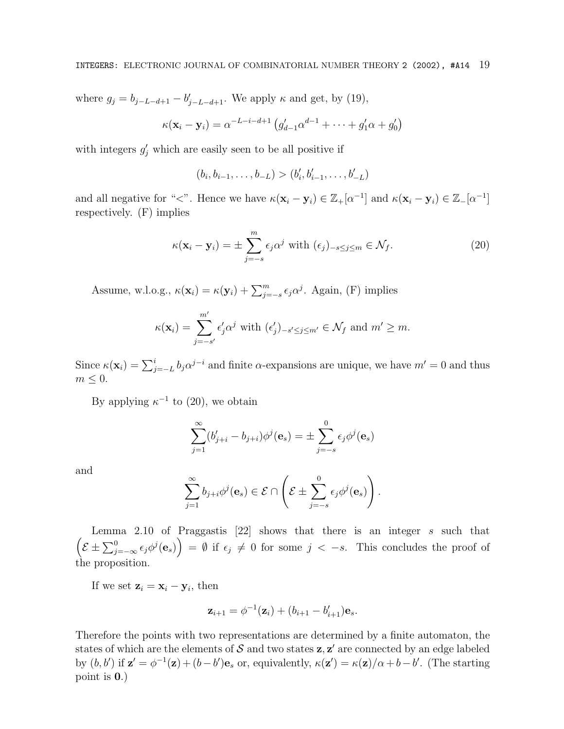where  $g_j = b_{j-L-d+1} - b'_{j-L-d+1}$ . We apply  $\kappa$  and get, by (19),

$$
\kappa(\mathbf{x}_i - \mathbf{y}_i) = \alpha^{-L-i-d+1} \left( g'_{d-1} \alpha^{d-1} + \dots + g'_1 \alpha + g'_0 \right)
$$

with integers  $g'_j$  which are easily seen to be all positive if

$$
(b_i, b_{i-1}, \ldots, b_{-L}) > (b'_i, b'_{i-1}, \ldots, b'_{-L})
$$

and all negative for "<". Hence we have  $\kappa(\mathbf{x}_i - \mathbf{y}_i) \in \mathbb{Z}_+[\alpha^{-1}]$  and  $\kappa(\mathbf{x}_i - \mathbf{y}_i) \in \mathbb{Z}_-[\alpha^{-1}]$ respectively. (F) implies

$$
\kappa(\mathbf{x}_i - \mathbf{y}_i) = \pm \sum_{j=-s}^{m} \epsilon_j \alpha^j \text{ with } (\epsilon_j)_{-s \le j \le m} \in \mathcal{N}_f.
$$
 (20)

Assume, w.l.o.g.,  $\kappa(\mathbf{x}_i) = \kappa(\mathbf{y}_i) + \sum_{j=-s}^{m} \epsilon_j \alpha^j$ . Again, (F) implies

$$
\kappa(\mathbf{x}_i) = \sum_{j=-s'}^{m'} \epsilon'_j \alpha^j \text{ with } (\epsilon'_j)_{-s' \leq j \leq m'} \in \mathcal{N}_f \text{ and } m' \geq m.
$$

Since  $\kappa(\mathbf{x}_i) = \sum_{j=-L}^{i} b_j \alpha^{j-i}$  and finite  $\alpha$ -expansions are unique, we have  $m' = 0$  and thus  $m \leq 0$ .

By applying  $\kappa^{-1}$  to (20), we obtain

$$
\sum_{j=1}^{\infty} (b'_{j+i} - b_{j+i})\phi^j(\mathbf{e}_s) = \pm \sum_{j=-s}^{0} \epsilon_j \phi^j(\mathbf{e}_s)
$$

and

$$
\sum_{j=1}^{\infty} b_{j+i} \phi^{j}(\mathbf{e}_s) \in \mathcal{E} \cap \left( \mathcal{E} \pm \sum_{j=-s}^{0} \epsilon_j \phi^{j}(\mathbf{e}_s) \right).
$$

Lemma 2.10 of Praggastis [22] shows that there is an integer s such that  $\left(\mathcal{E} \pm \sum_{j=-\infty}^{0} \epsilon_j \phi^j(e_s)\right) = \emptyset$  if  $\epsilon_j \neq 0$  for some  $j < -s$ . This concludes the proof of the proposition.

If we set  $z_i = x_i - y_i$ , then

$$
\mathbf{z}_{i+1} = \phi^{-1}(\mathbf{z}_i) + (b_{i+1} - b'_{i+1})\mathbf{e}_s.
$$

Therefore the points with two representations are determined by a finite automaton, the states of which are the elements of  $S$  and two states  $z, z'$  are connected by an edge labeled by  $(b, b')$  if  $\mathbf{z}' = \phi^{-1}(\mathbf{z}) + (b - b')\mathbf{e}_s$  or, equivalently,  $\kappa(\mathbf{z}') = \kappa(\mathbf{z})/\alpha + b - b'$ . (The starting point is **0**.)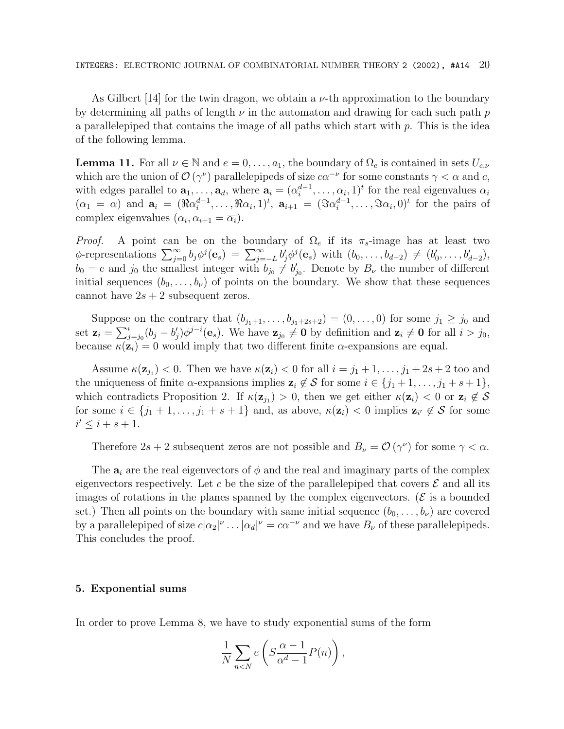As Gilbert  $|14|$  for the twin dragon, we obtain a  $\nu$ -th approximation to the boundary by determining all paths of length  $\nu$  in the automaton and drawing for each such path  $p$ a parallelepiped that contains the image of all paths which start with  $p$ . This is the idea of the following lemma.

**Lemma 11.** For all  $\nu \in \mathbb{N}$  and  $e = 0, \ldots, a_1$ , the boundary of  $\Omega_e$  is contained in sets  $U_{e,\nu}$ which are the union of  $\mathcal{O}(\gamma^{\nu})$  parallelepipeds of size  $c\alpha^{-\nu}$  for some constants  $\gamma < \alpha$  and c, with edges parallel to  $\mathbf{a}_1, \ldots, \mathbf{a}_d$ , where  $\mathbf{a}_i = (\alpha_i^{d-1}, \ldots, \alpha_i, 1)^t$  for the real eigenvalues  $\alpha_i$  $(\alpha_1 = \alpha)$  and  $\mathbf{a}_i = (\Re \alpha_i^{d-1}, \dots, \Re \alpha_i, 1)^t$ ,  $\mathbf{a}_{i+1} = (\Im \alpha_i^{d-1}, \dots, \Im \alpha_i, 0)^t$  for the pairs of complex eigenvalues  $(\alpha_i, \alpha_{i+1} = \overline{\alpha_i}).$ 

*Proof.* A point can be on the boundary of  $\Omega_e$  if its  $\pi_s$ -image has at least two  $\phi$ -representations  $\sum_{j=0}^{\infty} b_j \phi^j(\mathbf{e}_s) = \sum_{j=-L}^{\infty} b'_j \phi^j(\mathbf{e}_s)$  with  $(b_0, \ldots, b_{d-2}) \neq (b'_0, \ldots, b'_{d-2}),$  $b_0 = e$  and  $j_0$  the smallest integer with  $b_{j_0} \neq b'_{j_0}$ . Denote by  $B_{\nu}$  the number of different initial sequences  $(b_0, \ldots, b_\nu)$  of points on the boundary. We show that these sequences cannot have  $2s + 2$  subsequent zeros.

Suppose on the contrary that  $(b_{j_1+1},...,b_{j_1+2s+2}) = (0,...,0)$  for some  $j_1 \geq j_0$  and set  $\mathbf{z}_i = \sum_{j=j_0}^i (b_j - b'_j) \phi^{j-i}(\mathbf{e}_s)$ . We have  $\mathbf{z}_{j_0} \neq \mathbf{0}$  by definition and  $\mathbf{z}_i \neq \mathbf{0}$  for all  $i > j_0$ , because  $\kappa(\mathbf{z}_i) = 0$  would imply that two different finite  $\alpha$ -expansions are equal.

Assume  $\kappa(\mathbf{z}_{i_1}) < 0$ . Then we have  $\kappa(\mathbf{z}_i) < 0$  for all  $i = j_1 + 1, \ldots, j_1 + 2s + 2$  too and the uniqueness of finite  $\alpha$ -expansions implies  $\mathbf{z}_i \notin \mathcal{S}$  for some  $i \in \{j_1 + 1, \ldots, j_1 + s + 1\},\$ which contradicts Proposition 2. If  $\kappa(\mathbf{z}_{i_1}) > 0$ , then we get either  $\kappa(\mathbf{z}_i) < 0$  or  $\mathbf{z}_i \notin \mathcal{S}$ for some  $i \in \{j_1 + 1, \ldots, j_1 + s + 1\}$  and, as above,  $\kappa(\mathbf{z}_i) < 0$  implies  $\mathbf{z}_{i'} \notin \mathcal{S}$  for some  $i' \leq i + s + 1.$ 

Therefore  $2s + 2$  subsequent zeros are not possible and  $B_{\nu} = \mathcal{O}(\gamma^{\nu})$  for some  $\gamma < \alpha$ .

The  $a_i$  are the real eigenvectors of  $\phi$  and the real and imaginary parts of the complex eigenvectors respectively. Let c be the size of the parallelepiped that covers  $\mathcal E$  and all its images of rotations in the planes spanned by the complex eigenvectors. ( $\mathcal E$  is a bounded set.) Then all points on the boundary with same initial sequence  $(b_0,\ldots,b_\nu)$  are covered by a parallelepiped of size  $c|\alpha_2|^{\nu} \dots |\alpha_d|^{\nu} = c\alpha^{-\nu}$  and we have  $B_{\nu}$  of these parallelepipeds. This concludes the proof.

### **5. Exponential sums**

In order to prove Lemma 8, we have to study exponential sums of the form

$$
\frac{1}{N} \sum_{n < N} e\left( S \frac{\alpha - 1}{\alpha^d - 1} P(n) \right),
$$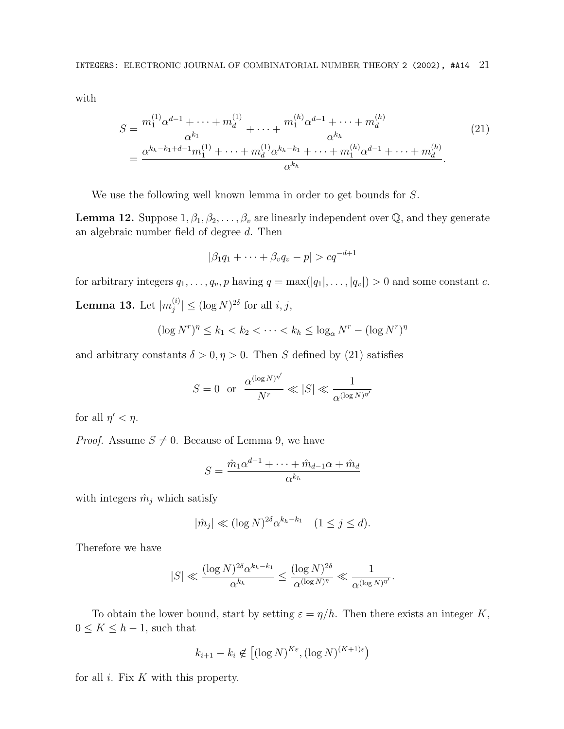with

$$
S = \frac{m_1^{(1)}\alpha^{d-1} + \dots + m_d^{(1)}}{\alpha^{k_1}} + \dots + \frac{m_1^{(h)}\alpha^{d-1} + \dots + m_d^{(h)}}{\alpha^{k_h}}
$$
  
= 
$$
\frac{\alpha^{k_h - k_1 + d - 1}m_1^{(1)} + \dots + m_d^{(1)}\alpha^{k_h - k_1} + \dots + m_1^{(h)}\alpha^{d-1} + \dots + m_d^{(h)}}{\alpha^{k_h}}.
$$
 (21)

We use the following well known lemma in order to get bounds for S.

**Lemma 12.** Suppose  $1, \beta_1, \beta_2, \ldots, \beta_v$  are linearly independent over  $\mathbb{Q}$ , and they generate an algebraic number field of degree d. Then

$$
|\beta_1 q_1 + \cdots + \beta_v q_v - p| > cq^{-d+1}
$$

for arbitrary integers  $q_1, \ldots, q_v, p$  having  $q = \max(|q_1|, \ldots, |q_v|) > 0$  and some constant c.

**Lemma 13.** Let  $|m_j^{(i)}| \leq (\log N)^{2\delta}$  for all  $i, j$ ,

$$
(\log N^r)^{\eta} \le k_1 < k_2 < \cdots < k_h \le \log_{\alpha} N^r - (\log N^r)^{\eta}
$$

and arbitrary constants  $\delta > 0, \eta > 0$ . Then S defined by (21) satisfies

$$
S = 0 \text{ or } \frac{\alpha^{(\log N)^{\eta'}}}{N^r} \ll |S| \ll \frac{1}{\alpha^{(\log N)^{\eta'}}}
$$

for all  $\eta' < \eta$ .

*Proof.* Assume  $S \neq 0$ . Because of Lemma 9, we have

$$
S = \frac{\hat{m}_1 \alpha^{d-1} + \dots + \hat{m}_{d-1} \alpha + \hat{m}_d}{\alpha^{k_h}}
$$

with integers  $\hat{m}_j$  which satisfy

$$
|\hat{m}_j| \ll (\log N)^{2\delta} \alpha^{k_h - k_1} \quad (1 \le j \le d).
$$

Therefore we have

$$
|S| \ll \frac{(\log N)^{2\delta} \alpha^{k_h - k_1}}{\alpha^{k_h}} \le \frac{(\log N)^{2\delta}}{\alpha^{(\log N)^\eta}} \ll \frac{1}{\alpha^{(\log N)^{\eta'}}}.
$$

To obtain the lower bound, start by setting  $\varepsilon = \eta/h$ . Then there exists an integer K,  $0 \leq K \leq h-1$ , such that

$$
k_{i+1} - k_i \notin [(\log N)^{K\varepsilon}, (\log N)^{(K+1)\varepsilon})
$$

for all  $i$ . Fix  $K$  with this property.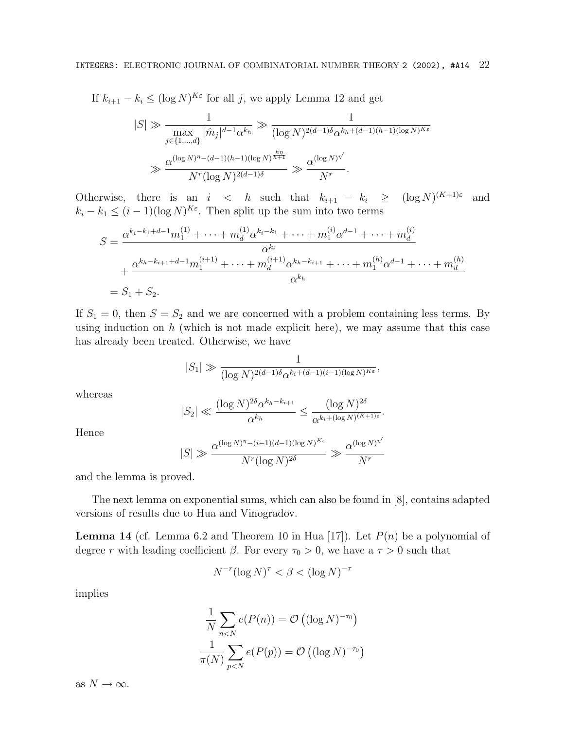If  $k_{i+1} - k_i \leq (\log N)^{K_{\varepsilon}}$  for all j, we apply Lemma 12 and get

$$
|S| \gg \frac{1}{\max_{j \in \{1, \dots, d\}} |\hat{m}_j|^{d-1} \alpha^{k_h}} \gg \frac{1}{(\log N)^{2(d-1)\delta} \alpha^{k_h + (d-1)(h-1)(\log N)^{K\varepsilon}}}
$$

$$
\gg \frac{\alpha^{(\log N)^{\eta} - (d-1)(h-1)(\log N)^{\frac{h\eta}{h+1}}}}{N^r (\log N)^{2(d-1)\delta}} \gg \frac{\alpha^{(\log N)^{\eta'}}}{N^r}.
$$

Otherwise, there is an  $i < h$  such that  $k_{i+1} - k_i \geq (\log N)^{(K+1)\varepsilon}$  and  $k_i - k_1 \leq (i-1)(\log N)^{K_{\varepsilon}}$ . Then split up the sum into two terms

$$
S = \frac{\alpha^{k_i - k_1 + d - 1} m_1^{(1)} + \dots + m_d^{(1)} \alpha^{k_i - k_1} + \dots + m_1^{(i)} \alpha^{d - 1} + \dots + m_d^{(i)}}{\alpha^{k_i}}
$$
  
+ 
$$
\frac{\alpha^{k_h - k_{i+1} + d - 1} m_1^{(i+1)} + \dots + m_d^{(i+1)} \alpha^{k_h - k_{i+1}} + \dots + m_1^{(h)} \alpha^{d - 1} + \dots + m_d^{(h)}}{\alpha^{k_h}}
$$
  
=  $S_1 + S_2$ .

If  $S_1 = 0$ , then  $S = S_2$  and we are concerned with a problem containing less terms. By using induction on  $h$  (which is not made explicit here), we may assume that this case has already been treated. Otherwise, we have

$$
|S_1| \gg \frac{1}{(\log N)^{2(d-1)\delta} \alpha^{k_i + (d-1)(i-1)(\log N)^{K\varepsilon}}},
$$

whereas

$$
|S_2| \ll \frac{(\log N)^{2\delta} \alpha^{k_h - k_{i+1}}}{\alpha^{k_h}} \le \frac{(\log N)^{2\delta}}{\alpha^{k_i + (\log N)^{(K+1)\varepsilon}}}.
$$

Hence

$$
|S| \gg \frac{\alpha^{(\log N)^{\eta} - (i-1)(d-1)(\log N)^{K\varepsilon}}}{N^r (\log N)^{2\delta}} \gg \frac{\alpha^{(\log N)^{\eta'}}}{N^r}
$$

and the lemma is proved.

The next lemma on exponential sums, which can also be found in [8], contains adapted versions of results due to Hua and Vinogradov.

**Lemma 14** (cf. Lemma 6.2 and Theorem 10 in Hua [17]). Let  $P(n)$  be a polynomial of degree r with leading coefficient  $\beta$ . For every  $\tau_0 > 0$ , we have a  $\tau > 0$  such that

$$
N^{-r} (\log N)^{\tau} < \beta < (\log N)^{-\tau}
$$

implies

$$
\frac{1}{N} \sum_{n < N} e(P(n)) = \mathcal{O}\left((\log N)^{-\tau_0}\right)
$$
\n
$$
\frac{1}{\pi(N)} \sum_{p < N} e(P(p)) = \mathcal{O}\left((\log N)^{-\tau_0}\right)
$$

as  $N \to \infty$ .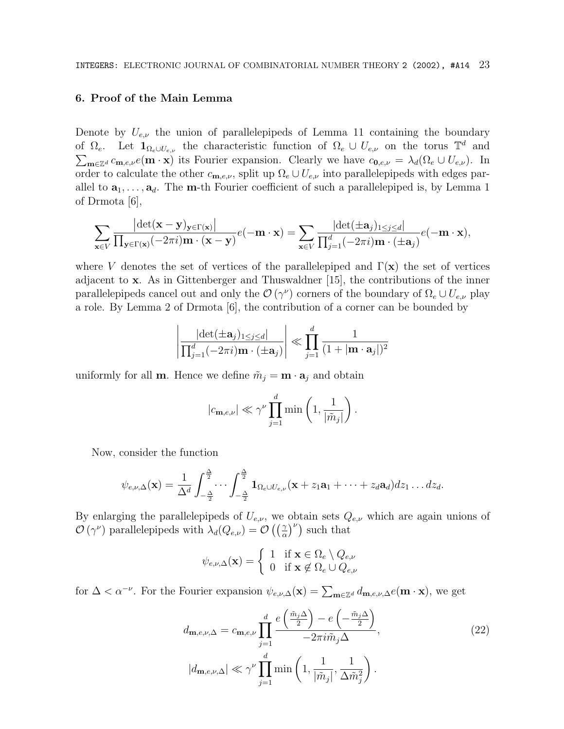### **6. Proof of the Main Lemma**

Denote by  $U_{e,\nu}$  the union of parallelepipeds of Lemma 11 containing the boundary of  $\Omega_e$ . Let  $\mathbf{1}_{\Omega_e \cup U_{e,\nu}}$  the characteristic function of  $\Omega_e \cup U_{e,\nu}$  on the torus  $\mathbb{T}^d$  and  $\sum_{\mathbf{m}\in\mathbb{Z}^d}c_{\mathbf{m},e,\nu}e(\mathbf{m}\cdot\mathbf{x})$  its Fourier expansion. Clearly we have  $c_{\mathbf{0},e,\nu}=\lambda_d(\Omega_e\cup U_{e,\nu})$ . In order to calculate the other  $c_{\mathbf{m},e,\nu}$ , split up  $\Omega_e \cup U_{e,\nu}$  into parallelepipeds with edges parallel to  $\mathbf{a}_1, \ldots, \mathbf{a}_d$ . The **m**-th Fourier coefficient of such a parallelepiped is, by Lemma 1 of Drmota [6],

$$
\sum_{\mathbf{x}\in V} \frac{|\det(\mathbf{x}-\mathbf{y})_{\mathbf{y}\in\Gamma(\mathbf{x})}|}{\prod_{\mathbf{y}\in\Gamma(\mathbf{x})}(-2\pi i)\mathbf{m}\cdot(\mathbf{x}-\mathbf{y})}e(-\mathbf{m}\cdot\mathbf{x}) = \sum_{\mathbf{x}\in V} \frac{|\det(\pm \mathbf{a}_j)_{1\leq j\leq d}|}{\prod_{j=1}^d(-2\pi i)\mathbf{m}\cdot(\pm \mathbf{a}_j)}e(-\mathbf{m}\cdot\mathbf{x}),
$$

where V denotes the set of vertices of the parallelepiped and  $\Gamma(\mathbf{x})$  the set of vertices adjacent to **x**. As in Gittenberger and Thuswaldner [15], the contributions of the inner parallelepipeds cancel out and only the  $\mathcal{O}(\gamma^{\nu})$  corners of the boundary of  $\Omega_e \cup U_{e,\nu}$  play a role. By Lemma 2 of Drmota [6], the contribution of a corner can be bounded by

$$
\left| \frac{\left| \det(\pm \mathbf{a}_j)_{1 \leq j \leq d} \right|}{\prod_{j=1}^d (-2\pi i) \mathbf{m} \cdot (\pm \mathbf{a}_j)} \right| \ll \prod_{j=1}^d \frac{1}{(1+|\mathbf{m} \cdot \mathbf{a}_j|)^2}
$$

uniformly for all **m**. Hence we define  $\tilde{m}_j = \mathbf{m} \cdot \mathbf{a}_j$  and obtain

$$
|c_{\mathbf{m},e,\nu}| \ll \gamma^{\nu} \prod_{j=1}^{d} \min\left(1, \frac{1}{|\tilde{m}_j|}\right).
$$

Now, consider the function

$$
\psi_{e,\nu,\Delta}(\mathbf{x}) = \frac{1}{\Delta^d} \int_{-\frac{\Delta}{2}}^{\frac{\Delta}{2}} \cdots \int_{-\frac{\Delta}{2}}^{\frac{\Delta}{2}} \mathbf{1}_{\Omega_e \cup U_{e,\nu}}(\mathbf{x} + z_1 \mathbf{a}_1 + \cdots + z_d \mathbf{a}_d) dz_1 \ldots dz_d.
$$

By enlarging the parallelepipeds of  $U_{e,\nu}$ , we obtain sets  $Q_{e,\nu}$  which are again unions of  $\mathcal{O}(\gamma^{\nu})$  parallelepipeds with  $\lambda_d(Q_{e,\nu}) = \mathcal{O}((\frac{\gamma}{\alpha})^{\nu})$  such that

$$
\psi_{e,\nu,\Delta}(\mathbf{x}) = \begin{cases} 1 & \text{if } \mathbf{x} \in \Omega_e \setminus Q_{e,\nu} \\ 0 & \text{if } \mathbf{x} \notin \Omega_e \cup Q_{e,\nu} \end{cases}
$$

for  $\Delta < \alpha^{-\nu}$ . For the Fourier expansion  $\psi_{e,\nu,\Delta}(\mathbf{x}) = \sum_{\mathbf{m}\in\mathbb{Z}^d} d_{\mathbf{m},e,\nu,\Delta}e(\mathbf{m}\cdot\mathbf{x})$ , we get

$$
d_{\mathbf{m},e,\nu,\Delta} = c_{\mathbf{m},e,\nu} \prod_{j=1}^{d} \frac{e\left(\frac{\tilde{m}_{j}\Delta}{2}\right) - e\left(-\frac{\tilde{m}_{j}\Delta}{2}\right)}{-2\pi i \tilde{m}_{j}\Delta},
$$
\n
$$
|d_{\mathbf{m},e,\nu,\Delta}| \ll \gamma^{\nu} \prod_{j=1}^{d} \min\left(1, \frac{1}{|\tilde{m}_{j}|}, \frac{1}{\Delta \tilde{m}_{j}^{2}}\right).
$$
\n(22)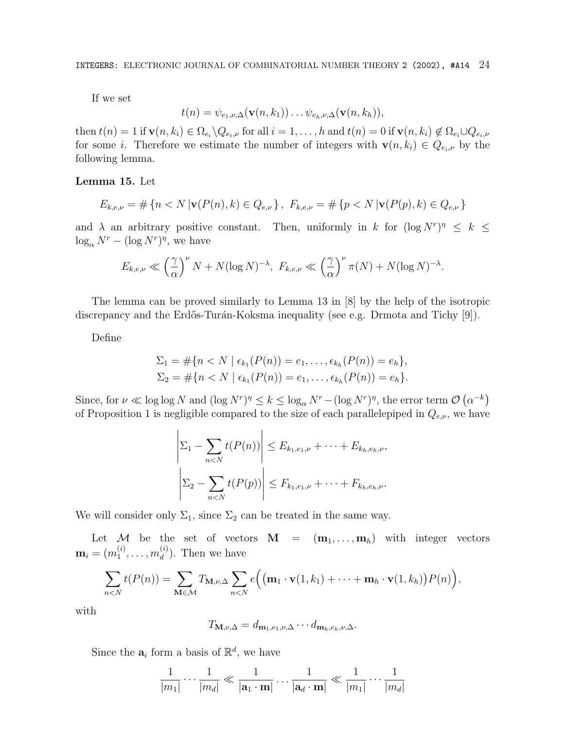If we set

$$
t(n) = \psi_{e_1,\nu,\Delta}(\mathbf{v}(n,k_1))\ldots\psi_{e_h,\nu,\Delta}(\mathbf{v}(n,k_h)),
$$

then  $t(n) = 1$  if  $\mathbf{v}(n, k_i) \in \Omega_{e_i} \backslash Q_{e_i, \nu}$  for all  $i = 1, \ldots, h$  and  $t(n) = 0$  if  $\mathbf{v}(n, k_i) \notin \Omega_{e_i} \cup Q_{e_i, \nu}$ for some *i*. Therefore we estimate the number of integers with  $\mathbf{v}(n, k_i) \in Q_{e_i, \nu}$  by the following lemma.

#### **Lemma 15.** Let

$$
E_{k,e,\nu} = \# \{ n < N \, | \mathbf{v}(P(n),k) \in Q_{e,\nu} \}, \ F_{k,e,\nu} = \# \{ p < N \, | \mathbf{v}(P(p),k) \in Q_{e,\nu} \}
$$

and  $\lambda$  an arbitrary positive constant. Then, uniformly in k for  $(\log N^r)^{\eta} \leq k \leq$  $\log_{\alpha} N^{r} - (\log N^{r})^{\eta}$ , we have

$$
E_{k,e,\nu} \ll \left(\frac{\gamma}{\alpha}\right)^{\nu} N + N(\log N)^{-\lambda}, \ F_{k,e,\nu} \ll \left(\frac{\gamma}{\alpha}\right)^{\nu} \pi(N) + N(\log N)^{-\lambda}.
$$

The lemma can be proved similarly to Lemma 13 in [8] by the help of the isotropic discrepancy and the Erdős-Turán-Koksma inequality (see e.g. Drmota and Tichy [9]).

Define

$$
\Sigma_1 = \#\{n < N \mid \epsilon_{k_1}(P(n)) = e_1, \ldots, \epsilon_{k_h}(P(n)) = e_h\},
$$
\n
$$
\Sigma_2 = \#\{n < N \mid \epsilon_{k_1}(P(n)) = e_1, \ldots, \epsilon_{k_h}(P(n)) = e_h\}.
$$

Since, for  $\nu \ll \log \log N$  and  $(\log N^r)^{\eta} \le k \le \log_{\alpha} N^r - (\log N^r)^{\eta}$ , the error term  $\mathcal{O}(\alpha^{-k})$ of Proposition 1 is negligible compared to the size of each parallelepiped in  $Q_{e,\nu}$ , we have

$$
\left| \Sigma_{1} - \sum_{n < N} t(P(n)) \right| \leq E_{k_{1},e_{1},\nu} + \dots + E_{k_{h},e_{h},\nu},
$$
\n
$$
\left| \Sigma_{2} - \sum_{n < N} t(P(p)) \right| \leq F_{k_{1},e_{1},\nu} + \dots + F_{k_{h},e_{h},\nu}.
$$

We will consider only  $\Sigma_1$ , since  $\Sigma_2$  can be treated in the same way.

Let M be the set of vectors  $M = (\mathbf{m}_1, \ldots, \mathbf{m}_h)$  with integer vectors  $\mathbf{m}_i = (m_1^{(i)}, \dots, m_d^{(i)})$ . Then we have

$$
\sum_{n
$$

with

$$
T_{\mathbf{M},\nu,\Delta}=d_{\mathbf{m}_1,e_1,\nu,\Delta}\cdots d_{\mathbf{m}_h,e_h,\nu,\Delta}.
$$

Since the  $a_i$  form a basis of  $\mathbb{R}^d$ , we have

$$
\frac{1}{|m_1|} \cdots \frac{1}{|m_d|} \ll \frac{1}{|\mathbf{a}_1 \cdot \mathbf{m}|} \cdots \frac{1}{|\mathbf{a}_d \cdot \mathbf{m}|} \ll \frac{1}{|m_1|} \cdots \frac{1}{|m_d|}
$$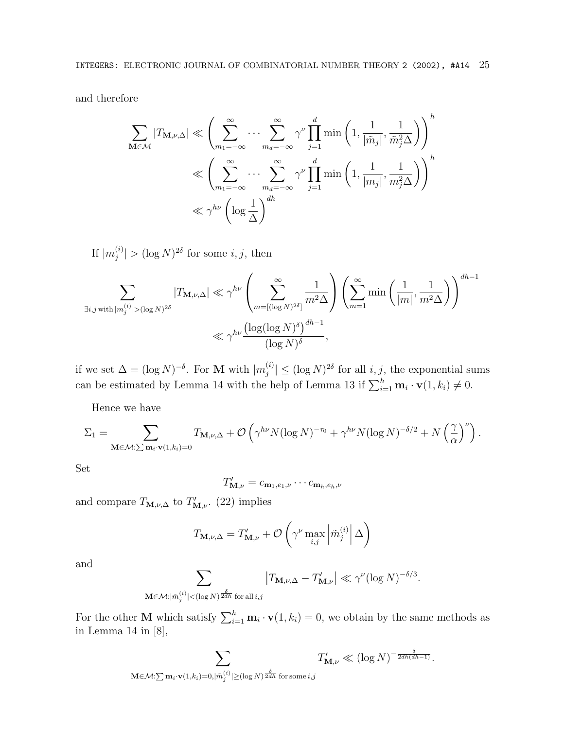and therefore

$$
\sum_{\mathbf{M}\in\mathcal{M}}|T_{\mathbf{M},\nu,\Delta}|\ll \left(\sum_{m_1=-\infty}^{\infty}\cdots\sum_{m_d=-\infty}^{\infty}\gamma^{\nu}\prod_{j=1}^{d}\min\left(1,\frac{1}{|\tilde{m}_j|},\frac{1}{\tilde{m}_j^2\Delta}\right)\right)^h
$$
  

$$
\ll \left(\sum_{m_1=-\infty}^{\infty}\cdots\sum_{m_d=-\infty}^{\infty}\gamma^{\nu}\prod_{j=1}^{d}\min\left(1,\frac{1}{|m_j|},\frac{1}{m_j^2\Delta}\right)\right)^h
$$
  

$$
\ll \gamma^{h\nu}\left(\log\frac{1}{\Delta}\right)^{dh}
$$

If  $|m_j^{(i)}| > (\log N)^{2\delta}$  for some  $i, j$ , then

$$
\sum_{\exists i,j \text{ with } |m_j^{(i)}| > (\log N)^{2\delta}} |T_{\mathbf{M},\nu,\Delta}| \ll \gamma^{h\nu} \left(\sum_{m=[(\log N)^{2\delta}]}^{\infty} \frac{1}{m^2\Delta}\right) \left(\sum_{m=1}^{\infty} \min\left(\frac{1}{|m|}, \frac{1}{m^2\Delta}\right)\right)^{dh-1} \ll \gamma^{h\nu} \frac{(\log(\log N)^{\delta})^{dh-1}}{(\log N)^{\delta}},
$$

if we set  $\Delta = (\log N)^{-\delta}$ . For **M** with  $|m_j^{(i)}| \leq (\log N)^{2\delta}$  for all *i*, *j*, the exponential sums can be estimated by Lemma 14 with the help of Lemma 13 if  $\sum_{i=1}^{h} \mathbf{m}_i \cdot \mathbf{v}(1, k_i) \neq 0$ .

Hence we have

$$
\Sigma_1 = \sum_{\mathbf{M} \in \mathcal{M}: \sum \mathbf{m}_i \cdot \mathbf{v}(1, k_i) = 0} T_{\mathbf{M}, \nu, \Delta} + \mathcal{O}\left(\gamma^{h\nu} N (\log N)^{-\tau_0} + \gamma^{h\nu} N (\log N)^{-\delta/2} + N \left(\frac{\gamma}{\alpha}\right)^{\nu}\right).
$$

Set

$$
T'_{\mathbf{M},\nu} = c_{\mathbf{m}_1,e_1,\nu} \cdots c_{\mathbf{m}_h,e_h,\nu}
$$

and compare  $T_{\mathbf{M},\nu,\Delta}$  to  $T'_{\mathbf{M},\nu}$ . (22) implies

$$
T_{\mathbf{M},\nu,\Delta}=T_{\mathbf{M},\nu}'+\mathcal{O}\left(\gamma^{\nu}\max_{i,j}\left|\tilde{m}_{j}^{(i)}\right|\Delta\right)
$$

and

$$
\sum_{\mathbf{M}\in\mathcal{M}:|\tilde{m}_j^{(i)}|<(\log N)^{\frac{\delta}{2d h}}\text{ for all }i,j} \left|T_{\mathbf{M},\nu,\Delta}-T'_{\mathbf{M},\nu}\right|\ll\gamma^{\nu}(\log N)^{-\delta/3}.
$$

For the other **M** which satisfy  $\sum_{i=1}^{h} \mathbf{m}_i \cdot \mathbf{v}(1, k_i) = 0$ , we obtain by the same methods as in Lemma 14 in [8],

$$
\sum_{\mathbf{M}\in\mathcal{M}:\sum\mathbf{m}_i\cdot\mathbf{v}(1,k_i)=0,|\tilde{m}_j^{(i)}|\geq (\log N)^{\frac{\delta}{2d h}} \text{ for some }i,j}T'_{\mathbf{M},\nu}\ll (\log N)^{-\frac{\delta}{2d h(d h-1)}}.
$$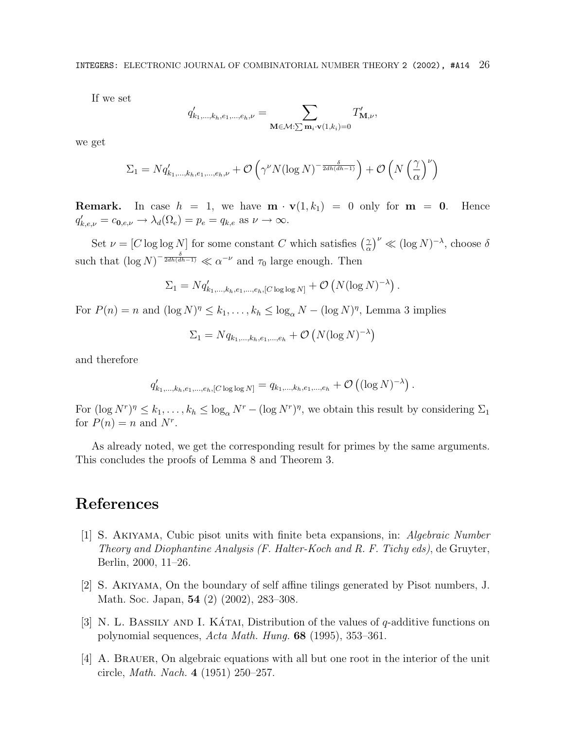If we set

$$
q'_{k_1,\ldots,k_h,e_1,\ldots,e_h,\nu} = \sum_{\mathbf{M}\in\mathcal{M}:\sum\mathbf{m}_i\cdot\mathbf{v}(1,k_i)=0} T'_{\mathbf{M},\nu},
$$

we get

$$
\Sigma_1 = Nq'_{k_1,\dots,k_h,e_1,\dots,e_h,\nu} + \mathcal{O}\left(\gamma^{\nu}N(\log N)^{-\frac{\delta}{2dh(dh-1)}}\right) + \mathcal{O}\left(N\left(\frac{\gamma}{\alpha}\right)^{\nu}\right)
$$

**Remark.** In case  $h = 1$ , we have  $\mathbf{m} \cdot \mathbf{v}(1, k_1) = 0$  only for  $\mathbf{m} = 0$ . Hence  $q'_{k,e,\nu} = c_{\mathbf{0},e,\nu} \rightarrow \lambda_d(\Omega_e) = p_e = q_{k,e} \text{ as } \nu \rightarrow \infty.$ 

Set  $\nu = [C \log \log N]$  for some constant C which satisfies  $(\frac{\gamma}{\alpha})^{\nu} \ll (\log N)^{-\lambda}$ , choose  $\delta$ such that  $(\log N)^{-\frac{\delta}{2dh(dh-1)}} \ll \alpha^{-\nu}$  and  $\tau_0$  large enough. Then

$$
\Sigma_1 = Nq'_{k_1,\ldots,k_h,e_1,\ldots,e_h,[C\log\log N]} + \mathcal{O}\left(N(\log N)^{-\lambda}\right).
$$

For  $P(n) = n$  and  $(\log N)^{\eta} \le k_1, \ldots, k_h \le \log_{\alpha} N - (\log N)^{\eta}$ , Lemma 3 implies

$$
\Sigma_1 = N q_{k_1,\dots,k_h,e_1,\dots,e_h} + \mathcal{O}\left(N (\log N)^{-\lambda}\right)
$$

and therefore

$$
q'_{k_1,\dots,k_h,e_1,\dots,e_h,[C \log \log N]} = q_{k_1,\dots,k_h,e_1,\dots,e_h} + \mathcal{O}\left((\log N)^{-\lambda}\right).
$$

For  $(\log N^r)^{\eta} \leq k_1,\ldots,k_h \leq \log_{\alpha} N^r - (\log N^r)^{\eta}$ , we obtain this result by considering  $\Sigma_1$ for  $P(n) = n$  and  $N^r$ .

As already noted, we get the corresponding result for primes by the same arguments. This concludes the proofs of Lemma 8 and Theorem 3.

# **References**

- [1] S. Akiyama, Cubic pisot units with finite beta expansions, in: Algebraic Number Theory and Diophantine Analysis (F. Halter-Koch and R. F. Tichy eds), de Gruyter, Berlin, 2000, 11–26.
- [2] S. Akiyama, On the boundary of self affine tilings generated by Pisot numbers, J. Math. Soc. Japan, **54** (2) (2002), 283–308.
- [3] N. L. BASSILY AND I. KATAI, Distribution of the values of  $q$ -additive functions on polynomial sequences, Acta Math. Hung. **68** (1995), 353–361.
- [4] A. Brauer, On algebraic equations with all but one root in the interior of the unit circle, Math. Nach. **4** (1951) 250–257.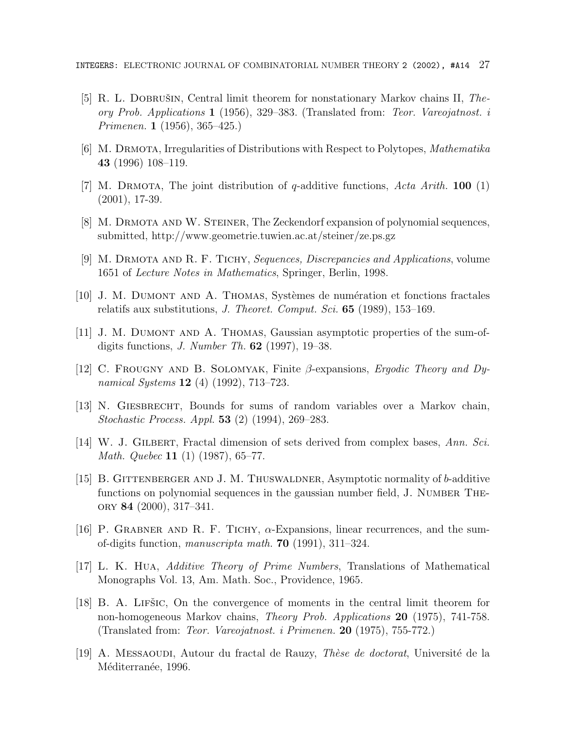- [5] R. L. DOBRUŠIN, Central limit theorem for nonstationary Markov chains II, Theory Prob. Applications **1** (1956), 329–383. (Translated from: Teor. Vareojatnost. i Primenen. **1** (1956), 365–425.)
- [6] M. Drmota, Irregularities of Distributions with Respect to Polytopes, Mathematika **43** (1996) 108–119.
- [7] M. Drmota, The joint distribution of q-additive functions, Acta Arith. **100** (1) (2001), 17-39.
- [8] M. Drmota and W. Steiner, The Zeckendorf expansion of polynomial sequences, submitted, http://www.geometrie.tuwien.ac.at/steiner/ze.ps.gz
- [9] M. Drmota and R. F. Tichy, Sequences, Discrepancies and Applications, volume 1651 of Lecture Notes in Mathematics, Springer, Berlin, 1998.
- [10] J. M. DUMONT AND A. THOMAS, Systèmes de numération et fonctions fractales relatifs aux substitutions, J. Theoret. Comput. Sci. **65** (1989), 153–169.
- [11] J. M. Dumont and A. Thomas, Gaussian asymptotic properties of the sum-ofdigits functions, J. Number Th. **62** (1997), 19–38.
- [12] C. FROUGNY AND B. SOLOMYAK, Finite  $\beta$ -expansions, *Ergodic Theory and Dy*namical Systems **12** (4) (1992), 713–723.
- [13] N. Giesbrecht, Bounds for sums of random variables over a Markov chain, Stochastic Process. Appl. **53** (2) (1994), 269–283.
- [14] W. J. GILBERT, Fractal dimension of sets derived from complex bases, Ann. Sci. Math. Quebec **11** (1) (1987), 65–77.
- [15] B. Gittenberger and J. M. Thuswaldner, Asymptotic normality of b-additive functions on polynomial sequences in the gaussian number field, J. NUMBER THEory **84** (2000), 317–341.
- [16] P. GRABNER AND R. F. TICHY,  $\alpha$ -Expansions, linear recurrences, and the sumof-digits function, manuscripta math. **70** (1991), 311–324.
- [17] L. K. Hua, Additive Theory of Prime Numbers, Translations of Mathematical Monographs Vol. 13, Am. Math. Soc., Providence, 1965.
- [18] B. A. LIFŠIC, On the convergence of moments in the central limit theorem for non-homogeneous Markov chains, Theory Prob. Applications **20** (1975), 741-758. (Translated from: Teor. Vareojatnost. i Primenen. **20** (1975), 755-772.)
- [19] A. MESSAOUDI, Autour du fractal de Rauzy, Thèse de doctorat, Université de la Méditerranée, 1996.